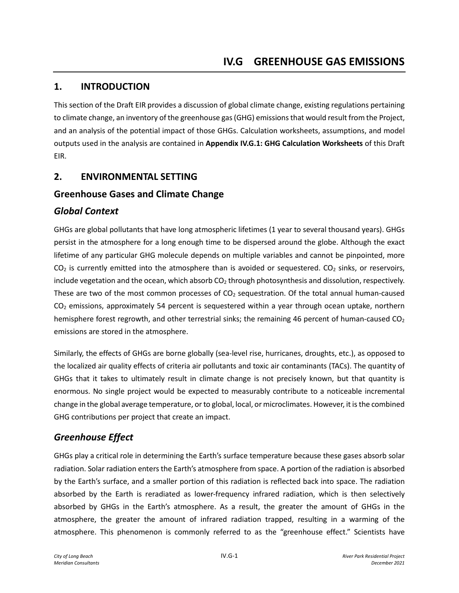## **1. INTRODUCTION**

This section of the Draft EIR provides a discussion of global climate change, existing regulations pertaining to climate change, an inventory of the greenhouse gas (GHG) emissions that would result from the Project, and an analysis of the potential impact of those GHGs. Calculation worksheets, assumptions, and model outputs used in the analysis are contained in **Appendix IV.G.1: GHG Calculation Worksheets** of this Draft EIR.

## **2. ENVIRONMENTAL SETTING**

## **Greenhouse Gases and Climate Change**

## *Global Context*

GHGs are global pollutants that have long atmospheric lifetimes (1 year to several thousand years). GHGs persist in the atmosphere for a long enough time to be dispersed around the globe. Although the exact lifetime of any particular GHG molecule depends on multiple variables and cannot be pinpointed, more  $CO<sub>2</sub>$  is currently emitted into the atmosphere than is avoided or sequestered.  $CO<sub>2</sub>$  sinks, or reservoirs, include vegetation and the ocean, which absorb  $CO<sub>2</sub>$  through photosynthesis and dissolution, respectively. These are two of the most common processes of  $CO<sub>2</sub>$  sequestration. Of the total annual human-caused  $CO<sub>2</sub>$  emissions, approximately 54 percent is sequestered within a year through ocean uptake, northern hemisphere forest regrowth, and other terrestrial sinks; the remaining 46 percent of human-caused  $CO<sub>2</sub>$ emissions are stored in the atmosphere.

Similarly, the effects of GHGs are borne globally (sea-level rise, hurricanes, droughts, etc.), as opposed to the localized air quality effects of criteria air pollutants and toxic air contaminants (TACs). The quantity of GHGs that it takes to ultimately result in climate change is not precisely known, but that quantity is enormous. No single project would be expected to measurably contribute to a noticeable incremental change in the global average temperature, or to global, local, or microclimates. However, it is the combined GHG contributions per project that create an impact.

## *Greenhouse Effect*

GHGs play a critical role in determining the Earth's surface temperature because these gases absorb solar radiation. Solar radiation enters the Earth's atmosphere from space. A portion of the radiation is absorbed by the Earth's surface, and a smaller portion of this radiation is reflected back into space. The radiation absorbed by the Earth is reradiated as lower-frequency infrared radiation, which is then selectively absorbed by GHGs in the Earth's atmosphere. As a result, the greater the amount of GHGs in the atmosphere, the greater the amount of infrared radiation trapped, resulting in a warming of the atmosphere. This phenomenon is commonly referred to as the "greenhouse effect." Scientists have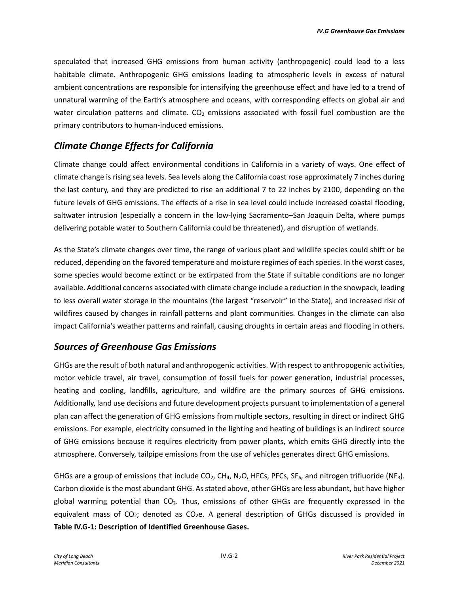speculated that increased GHG emissions from human activity (anthropogenic) could lead to a less habitable climate. Anthropogenic GHG emissions leading to atmospheric levels in excess of natural ambient concentrations are responsible for intensifying the greenhouse effect and have led to a trend of unnatural warming of the Earth's atmosphere and oceans, with corresponding effects on global air and water circulation patterns and climate.  $CO<sub>2</sub>$  emissions associated with fossil fuel combustion are the primary contributors to human-induced emissions.

## *Climate Change Effects for California*

Climate change could affect environmental conditions in California in a variety of ways. One effect of climate change is rising sea levels. Sea levels along the California coast rose approximately 7 inches during the last century, and they are predicted to rise an additional 7 to 22 inches by 2100, depending on the future levels of GHG emissions. The effects of a rise in sea level could include increased coastal flooding, saltwater intrusion (especially a concern in the low-lying Sacramento–San Joaquin Delta, where pumps delivering potable water to Southern California could be threatened), and disruption of wetlands.

As the State's climate changes over time, the range of various plant and wildlife species could shift or be reduced, depending on the favored temperature and moisture regimes of each species. In the worst cases, some species would become extinct or be extirpated from the State if suitable conditions are no longer available. Additional concerns associated with climate change include a reduction in the snowpack, leading to less overall water storage in the mountains (the largest "reservoir" in the State), and increased risk of wildfires caused by changes in rainfall patterns and plant communities. Changes in the climate can also impact California's weather patterns and rainfall, causing droughts in certain areas and flooding in others.

## *Sources of Greenhouse Gas Emissions*

GHGs are the result of both natural and anthropogenic activities. With respect to anthropogenic activities, motor vehicle travel, air travel, consumption of fossil fuels for power generation, industrial processes, heating and cooling, landfills, agriculture, and wildfire are the primary sources of GHG emissions. Additionally, land use decisions and future development projects pursuant to implementation of a general plan can affect the generation of GHG emissions from multiple sectors, resulting in direct or indirect GHG emissions. For example, electricity consumed in the lighting and heating of buildings is an indirect source of GHG emissions because it requires electricity from power plants, which emits GHG directly into the atmosphere. Conversely, tailpipe emissions from the use of vehicles generates direct GHG emissions.

GHGs are a group of emissions that include  $CO_2$ , CH<sub>4</sub>, N<sub>2</sub>O, HFCs, PFCs, SF<sub>6</sub>, and nitrogen trifluoride (NF<sub>3</sub>). Carbon dioxide is the most abundant GHG. As stated above, other GHGs are less abundant, but have higher global warming potential than  $CO<sub>2</sub>$ . Thus, emissions of other GHGs are frequently expressed in the equivalent mass of  $CO<sub>2</sub>$ ; denoted as  $CO<sub>2</sub>e$ . A general description of GHGs discussed is provided in **Table IV.G-1: Description of Identified Greenhouse Gases.**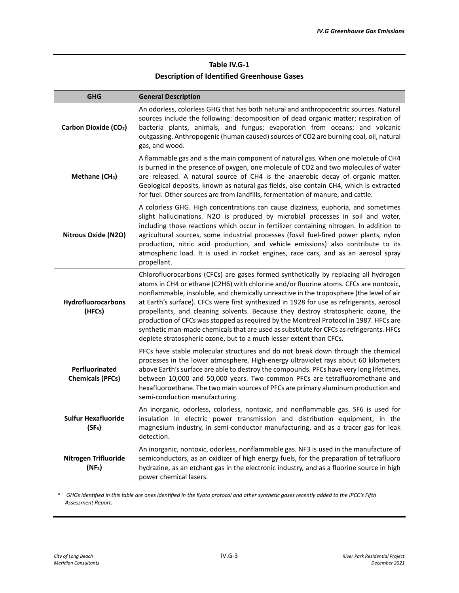### **Table IV.G-1 Description of Identified Greenhouse Gases**

| <b>GHG</b>                                       | <b>General Description</b>                                                                                                                                                                                                                                                                                                                                                                                                                                                                                                                                                                                                                                                                                           |
|--------------------------------------------------|----------------------------------------------------------------------------------------------------------------------------------------------------------------------------------------------------------------------------------------------------------------------------------------------------------------------------------------------------------------------------------------------------------------------------------------------------------------------------------------------------------------------------------------------------------------------------------------------------------------------------------------------------------------------------------------------------------------------|
| Carbon Dioxide (CO <sub>2</sub> )                | An odorless, colorless GHG that has both natural and anthropocentric sources. Natural<br>sources include the following: decomposition of dead organic matter; respiration of<br>bacteria plants, animals, and fungus; evaporation from oceans; and volcanic<br>outgassing. Anthropogenic (human caused) sources of CO2 are burning coal, oil, natural<br>gas, and wood.                                                                                                                                                                                                                                                                                                                                              |
| Methane (CH <sub>4</sub> )                       | A flammable gas and is the main component of natural gas. When one molecule of CH4<br>is burned in the presence of oxygen, one molecule of CO2 and two molecules of water<br>are released. A natural source of CH4 is the anaerobic decay of organic matter.<br>Geological deposits, known as natural gas fields, also contain CH4, which is extracted<br>for fuel. Other sources are from landfills, fermentation of manure, and cattle.                                                                                                                                                                                                                                                                            |
| <b>Nitrous Oxide (N2O)</b>                       | A colorless GHG. High concentrations can cause dizziness, euphoria, and sometimes<br>slight hallucinations. N2O is produced by microbial processes in soil and water,<br>including those reactions which occur in fertilizer containing nitrogen. In addition to<br>agricultural sources, some industrial processes (fossil fuel-fired power plants, nylon<br>production, nitric acid production, and vehicle emissions) also contribute to its<br>atmospheric load. It is used in rocket engines, race cars, and as an aerosol spray<br>propellant.                                                                                                                                                                 |
| Hydrofluorocarbons<br>(HFCs)                     | Chlorofluorocarbons (CFCs) are gases formed synthetically by replacing all hydrogen<br>atoms in CH4 or ethane (C2H6) with chlorine and/or fluorine atoms. CFCs are nontoxic,<br>nonflammable, insoluble, and chemically unreactive in the troposphere (the level of air<br>at Earth's surface). CFCs were first synthesized in 1928 for use as refrigerants, aerosol<br>propellants, and cleaning solvents. Because they destroy stratospheric ozone, the<br>production of CFCs was stopped as required by the Montreal Protocol in 1987. HFCs are<br>synthetic man-made chemicals that are used as substitute for CFCs as refrigerants. HFCs<br>deplete stratospheric ozone, but to a much lesser extent than CFCs. |
| Perfluorinated<br><b>Chemicals (PFCs)</b>        | PFCs have stable molecular structures and do not break down through the chemical<br>processes in the lower atmosphere. High-energy ultraviolet rays about 60 kilometers<br>above Earth's surface are able to destroy the compounds. PFCs have very long lifetimes,<br>between 10,000 and 50,000 years. Two common PFCs are tetrafluoromethane and<br>hexafluoroethane. The two main sources of PFCs are primary aluminum production and<br>semi-conduction manufacturing.                                                                                                                                                                                                                                            |
| <b>Sulfur Hexafluoride</b><br>(SF <sub>6</sub> ) | An inorganic, odorless, colorless, nontoxic, and nonflammable gas. SF6 is used for<br>insulation in electric power transmission and distribution equipment, in the<br>magnesium industry, in semi-conductor manufacturing, and as a tracer gas for leak<br>detection.                                                                                                                                                                                                                                                                                                                                                                                                                                                |
| Nitrogen Trifluoride<br>$(NF_3)$                 | An inorganic, nontoxic, odorless, nonflammable gas. NF3 is used in the manufacture of<br>semiconductors, as an oxidizer of high energy fuels, for the preparation of tetrafluoro<br>hydrazine, as an etchant gas in the electronic industry, and as a fluorine source in high<br>power chemical lasers.                                                                                                                                                                                                                                                                                                                                                                                                              |

*a GHGs identified in this table are ones identified in the Kyoto protocol and other synthetic gases recently added to the IPCC's Fifth Assessment Report.*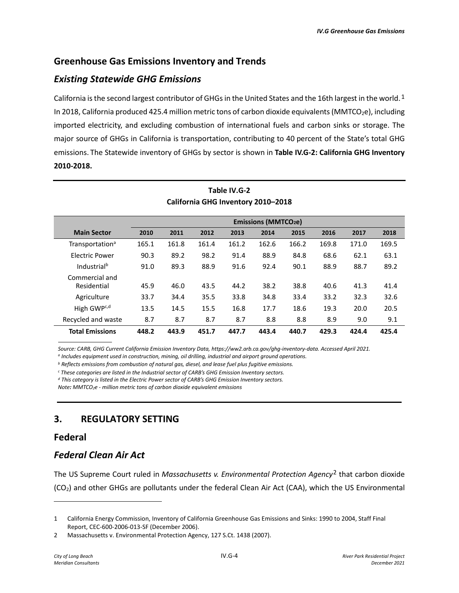## **Greenhouse Gas Emissions Inventory and Trends**

## *Existing Statewide GHG Emissions*

California is the second largest contributor of GHGs in the United States and the [1](#page-3-0)6th largest in the world.<sup>1</sup> In 2018, California produced 425.4 million metric tons of carbon dioxide equivalents (MMTCO<sub>2</sub>e), including imported electricity, and excluding combustion of international fuels and carbon sinks or storage. The major source of GHGs in California is transportation, contributing to 40 percent of the State's total GHG emissions. The Statewide inventory of GHGs by sector is shown in **Table IV.G-2: California GHG Inventory 2010-2018.** 

| California GHG Inventory 2010-2018 |       |                                       |       |       |       |       |       |       |       |
|------------------------------------|-------|---------------------------------------|-------|-------|-------|-------|-------|-------|-------|
|                                    |       | <b>Emissions (MMTCO<sub>2</sub>e)</b> |       |       |       |       |       |       |       |
| <b>Main Sector</b>                 | 2010  | 2011                                  | 2012  | 2013  | 2014  | 2015  | 2016  | 2017  | 2018  |
| Transportation <sup>a</sup>        | 165.1 | 161.8                                 | 161.4 | 161.2 | 162.6 | 166.2 | 169.8 | 171.0 | 169.5 |
| <b>Electric Power</b>              | 90.3  | 89.2                                  | 98.2  | 91.4  | 88.9  | 84.8  | 68.6  | 62.1  | 63.1  |
| Industrial <sup>b</sup>            | 91.0  | 89.3                                  | 88.9  | 91.6  | 92.4  | 90.1  | 88.9  | 88.7  | 89.2  |
| Commercial and<br>Residential      | 45.9  | 46.0                                  | 43.5  | 44.2  | 38.2  | 38.8  | 40.6  | 41.3  | 41.4  |
| Agriculture                        | 33.7  | 34.4                                  | 35.5  | 33.8  | 34.8  | 33.4  | 33.2  | 32.3  | 32.6  |
| High GWP <sup>c,d</sup>            | 13.5  | 14.5                                  | 15.5  | 16.8  | 17.7  | 18.6  | 19.3  | 20.0  | 20.5  |
| Recycled and waste                 | 8.7   | 8.7                                   | 8.7   | 8.7   | 8.8   | 8.8   | 8.9   | 9.0   | 9.1   |
| <b>Total Emissions</b>             | 448.2 | 443.9                                 | 451.7 | 447.7 | 443.4 | 440.7 | 429.3 | 424.4 | 425.4 |

# **Table IV.G-2**

Source: CARB, GHG Current California Emission Inventory Data, https://ww2.arb.ca.gov/ghg-inventory-data. Accessed April 2021.<br><sup>a</sup> Includes equipment used in construction, mining, oil drilling, industrial and airport ground

*<sup>b</sup> Reflects emissions from combustion of natural gas, diesel, and lease fuel plus fugitive emissions.*

*<sup>c</sup> These categories are listed in the Industrial sector of CARB's GHG Emission Inventory sectors.*

*<sup>d</sup> This category is listed in the Electric Power sector of CARB's GHG Emission Inventory sectors.*

*Note: MMTCO2e - million metric tons of carbon dioxide equivalent emissions*

## **3. REGULATORY SETTING**

#### **Federal**

## *Federal Clean Air Act*

The US Supreme Court ruled in *Massachusetts v. Environmental Protection Agency*[2](#page-3-1) that carbon dioxide (CO2) and other GHGs are pollutants under the federal Clean Air Act (CAA), which the US Environmental

<span id="page-3-0"></span><sup>1</sup> California Energy Commission, Inventory of California Greenhouse Gas Emissions and Sinks: 1990 to 2004, Staff Final Report, CEC-600-2006-013-SF (December 2006).

<span id="page-3-1"></span><sup>2</sup> Massachusetts v. Environmental Protection Agency, 127 S.Ct. 1438 (2007).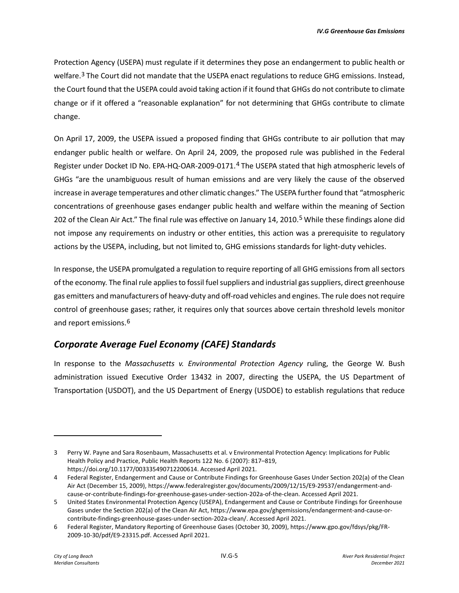Protection Agency (USEPA) must regulate if it determines they pose an endangerment to public health or welfare.<sup>[3](#page-4-0)</sup> The Court did not mandate that the USEPA enact regulations to reduce GHG emissions. Instead, the Court found that the USEPA could avoid taking action if it found that GHGs do not contribute to climate change or if it offered a "reasonable explanation" for not determining that GHGs contribute to climate change.

On April 17, 2009, the USEPA issued a proposed finding that GHGs contribute to air pollution that may endanger public health or welfare. On April 24, 2009, the proposed rule was published in the Federal Register under Docket ID No. EPA-HQ-OAR-2009-0171.[4](#page-4-1) The USEPA stated that high atmospheric levels of GHGs "are the unambiguous result of human emissions and are very likely the cause of the observed increase in average temperatures and other climatic changes." The USEPA further found that "atmospheric concentrations of greenhouse gases endanger public health and welfare within the meaning of Section 202 of the Clean Air Act." The final rule was effective on January 14, 2010.[5](#page-4-2) While these findings alone did not impose any requirements on industry or other entities, this action was a prerequisite to regulatory actions by the USEPA, including, but not limited to, GHG emissions standards for light-duty vehicles.

In response, the USEPA promulgated a regulation to require reporting of all GHG emissions from all sectors of the economy. The final rule applies to fossil fuel suppliers and industrial gas suppliers, direct greenhouse gas emitters and manufacturers of heavy-duty and off-road vehicles and engines. The rule does not require control of greenhouse gases; rather, it requires only that sources above certain threshold levels monitor and report emissions.[6](#page-4-3)

## *Corporate Average Fuel Economy (CAFE) Standards*

In response to the *Massachusetts v. Environmental Protection Agency* ruling, the George W. Bush administration issued Executive Order 13432 in 2007, directing the USEPA, the US Department of Transportation (USDOT), and the US Department of Energy (USDOE) to establish regulations that reduce

<span id="page-4-0"></span><sup>3</sup> Perry W. Payne and Sara Rosenbaum, Massachusetts et al. v Environmental Protection Agency: Implications for Public Health Policy and Practice, Public Health Reports 122 No. 6 (2007): 817–819, https://doi.org/10.1177/003335490712200614. Accessed April 2021.

<span id="page-4-1"></span><sup>4</sup> Federal Register, Endangerment and Cause or Contribute Findings for Greenhouse Gases Under Section 202(a) of the Clean Air Act (December 15, 2009), https://www.federalregister.gov/documents/2009/12/15/E9-29537/endangerment-andcause-or-contribute-findings-for-greenhouse-gases-under-section-202a-of-the-clean. Accessed April 2021.

<span id="page-4-2"></span><sup>5</sup> United States Environmental Protection Agency (USEPA), Endangerment and Cause or Contribute Findings for Greenhouse Gases under the Section 202(a) of the Clean Air Act, https://www.epa.gov/ghgemissions/endangerment-and-cause-orcontribute-findings-greenhouse-gases-under-section-202a-clean/. Accessed April 2021.

<span id="page-4-3"></span><sup>6</sup> Federal Register, Mandatory Reporting of Greenhouse Gases (October 30, 2009), https://www.gpo.gov/fdsys/pkg/FR-2009-10-30/pdf/E9-23315.pdf. Accessed April 2021.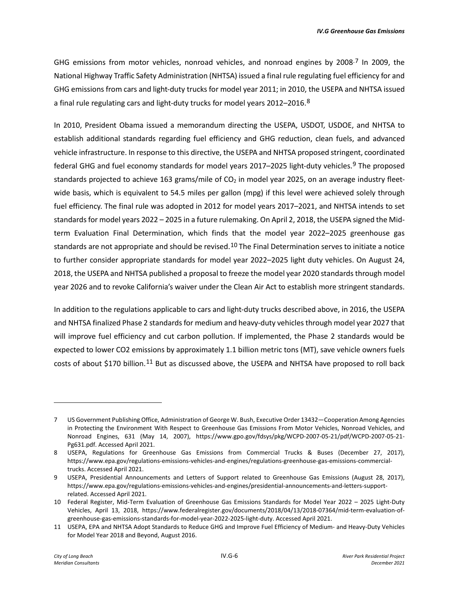GHG emissions from motor vehicles, nonroad vehicles, and nonroad engines by 2008 $^{7}$  $^{7}$  $^{7}$  In 2009, the National Highway Traffic Safety Administration (NHTSA) issued a final rule regulating fuel efficiency for and GHG emissions from cars and light-duty trucks for model year 2011; in 2010, the USEPA and NHTSA issued a final rule regulating cars and light-duty trucks for model years 2012–2016.[8](#page-5-1) 

In 2010, President Obama issued a memorandum directing the USEPA, USDOT, USDOE, and NHTSA to establish additional standards regarding fuel efficiency and GHG reduction, clean fuels, and advanced vehicle infrastructure. In response to this directive, the USEPA and NHTSA proposed stringent, coordinated federal GHG and fuel economy standards for model years 2017–2025 light-duty vehicles.<sup>[9](#page-5-2)</sup> The proposed standards projected to achieve 163 grams/mile of  $CO<sub>2</sub>$  in model year 2025, on an average industry fleetwide basis, which is equivalent to 54.5 miles per gallon (mpg) if this level were achieved solely through fuel efficiency. The final rule was adopted in 2012 for model years 2017–2021, and NHTSA intends to set standards for model years 2022 – 2025 in a future rulemaking. On April 2, 2018, the USEPA signed the Midterm Evaluation Final Determination, which finds that the model year 2022–2025 greenhouse gas standards are not appropriate and should be revised.<sup>[10](#page-5-3)</sup> The Final Determination serves to initiate a notice to further consider appropriate standards for model year 2022–2025 light duty vehicles. On August 24, 2018, the USEPA and NHTSA published a proposal to freeze the model year 2020 standards through model year 2026 and to revoke California's waiver under the Clean Air Act to establish more stringent standards.

In addition to the regulations applicable to cars and light-duty trucks described above, in 2016, the USEPA and NHTSA finalized Phase 2 standards for medium and heavy-duty vehicles through model year 2027 that will improve fuel efficiency and cut carbon pollution. If implemented, the Phase 2 standards would be expected to lower CO2 emissions by approximately 1.1 billion metric tons (MT), save vehicle owners fuels costs of about \$170 billion.[11](#page-5-4) But as discussed above, the USEPA and NHTSA have proposed to roll back

<span id="page-5-0"></span><sup>7</sup> US Government Publishing Office, Administration of George W. Bush, Executive Order 13432—Cooperation Among Agencies in Protecting the Environment With Respect to Greenhouse Gas Emissions From Motor Vehicles, Nonroad Vehicles, and Nonroad Engines, 631 (May 14, 2007), https://www.gpo.gov/fdsys/pkg/WCPD-2007-05-21/pdf/WCPD-2007-05-21- Pg631.pdf. Accessed April 2021.

<span id="page-5-1"></span><sup>8</sup> USEPA, Regulations for Greenhouse Gas Emissions from Commercial Trucks & Buses (December 27, 2017), https://www.epa.gov/regulations-emissions-vehicles-and-engines/regulations-greenhouse-gas-emissions-commercialtrucks. Accessed April 2021.

<span id="page-5-2"></span><sup>9</sup> USEPA, Presidential Announcements and Letters of Support related to Greenhouse Gas Emissions (August 28, 2017), https://www.epa.gov/regulations-emissions-vehicles-and-engines/presidential-announcements-and-letters-supportrelated. Accessed April 2021.

<span id="page-5-3"></span><sup>10</sup> Federal Register, Mid-Term Evaluation of Greenhouse Gas Emissions Standards for Model Year 2022 – 2025 Light-Duty Vehicles, April 13, 2018, https://www.federalregister.gov/documents/2018/04/13/2018-07364/mid-term-evaluation-ofgreenhouse-gas-emissions-standards-for-model-year-2022-2025-light-duty. Accessed April 2021.

<span id="page-5-4"></span><sup>11</sup> USEPA, EPA and NHTSA Adopt Standards to Reduce GHG and Improve Fuel Efficiency of Medium- and Heavy-Duty Vehicles for Model Year 2018 and Beyond, August 2016.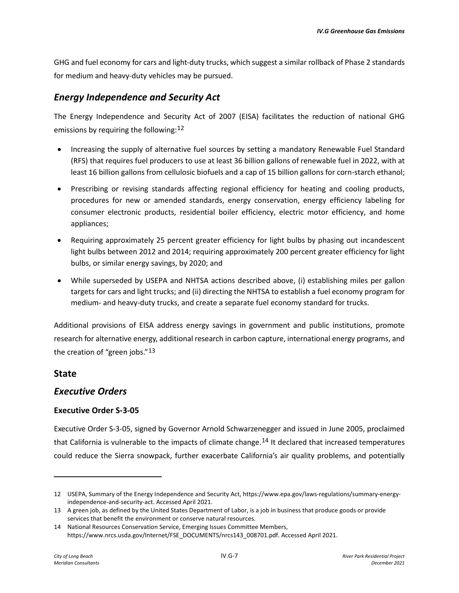GHG and fuel economy for cars and light-duty trucks, which suggest a similar rollback of Phase 2 standards for medium and heavy-duty vehicles may be pursued.

## *Energy Independence and Security Act*

The Energy Independence and Security Act of 2007 (EISA) facilitates the reduction of national GHG emissions by requiring the following: $12$ 

- Increasing the supply of alternative fuel sources by setting a mandatory Renewable Fuel Standard (RFS) that requires fuel producers to use at least 36 billion gallons of renewable fuel in 2022, with at least 16 billion gallons from cellulosic biofuels and a cap of 15 billion gallons for corn-starch ethanol;
- Prescribing or revising standards affecting regional efficiency for heating and cooling products, procedures for new or amended standards, energy conservation, energy efficiency labeling for consumer electronic products, residential boiler efficiency, electric motor efficiency, and home appliances;
- Requiring approximately 25 percent greater efficiency for light bulbs by phasing out incandescent light bulbs between 2012 and 2014; requiring approximately 200 percent greater efficiency for light bulbs, or similar energy savings, by 2020; and
- While superseded by USEPA and NHTSA actions described above, (i) establishing miles per gallon targets for cars and light trucks; and (ii) directing the NHTSA to establish a fuel economy program for medium- and heavy-duty trucks, and create a separate fuel economy standard for trucks.

Additional provisions of EISA address energy savings in government and public institutions, promote research for alternative energy, additional research in carbon capture, international energy programs, and the creation of "green jobs."<sup>[13](#page-6-1)</sup>

## **State**

## *Executive Orders*

#### **Executive Order S-3-05**

Executive Order S-3-05, signed by Governor Arnold Schwarzenegger and issued in June 2005, proclaimed that California is vulnerable to the impacts of climate change.<sup>[14](#page-6-2)</sup> It declared that increased temperatures could reduce the Sierra snowpack, further exacerbate California's air quality problems, and potentially

<span id="page-6-0"></span><sup>12</sup> USEPA, Summary of the Energy Independence and Security Act, https://www.epa.gov/laws-regulations/summary-energyindependence-and-security-act. Accessed April 2021.

<span id="page-6-1"></span><sup>13</sup> A green job, as defined by the United States Department of Labor, is a job in business that produce goods or provide services that benefit the environment or conserve natural resources.

<span id="page-6-2"></span><sup>14</sup> National Resources Conservation Service, Emerging Issues Committee Members, https://www.nrcs.usda.gov/Internet/FSE\_DOCUMENTS/nrcs143\_008701.pdf. Accessed April 2021.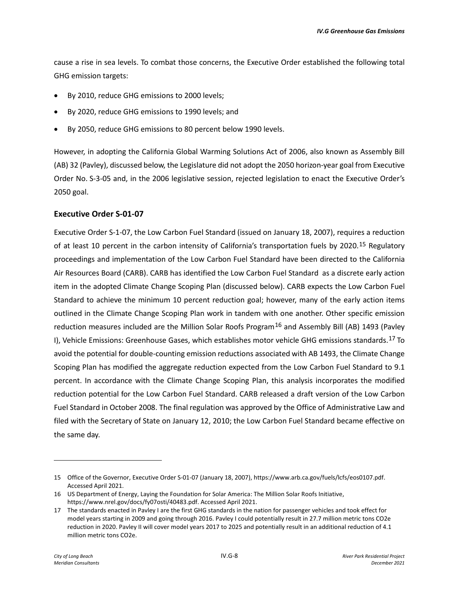cause a rise in sea levels. To combat those concerns, the Executive Order established the following total GHG emission targets:

- By 2010, reduce GHG emissions to 2000 levels;
- By 2020, reduce GHG emissions to 1990 levels; and
- By 2050, reduce GHG emissions to 80 percent below 1990 levels.

However, in adopting the California Global Warming Solutions Act of 2006, also known as Assembly Bill (AB) 32 (Pavley), discussed below, the Legislature did not adopt the 2050 horizon-year goal from Executive Order No. S-3-05 and, in the 2006 legislative session, rejected legislation to enact the Executive Order's 2050 goal.

#### **Executive Order S-01-07**

Executive Order S-1-07, the Low Carbon Fuel Standard (issued on January 18, 2007), requires a reduction of at least 10 percent in the carbon intensity of California's transportation fuels by 2020.<sup>[15](#page-7-0)</sup> Regulatory proceedings and implementation of the Low Carbon Fuel Standard have been directed to the California Air Resources Board (CARB). CARB has identified the Low Carbon Fuel Standard as a discrete early action item in the adopted Climate Change Scoping Plan (discussed below). CARB expects the Low Carbon Fuel Standard to achieve the minimum 10 percent reduction goal; however, many of the early action items outlined in the Climate Change Scoping Plan work in tandem with one another. Other specific emission reduction measures included are the Million Solar Roofs Program<sup>[16](#page-7-1)</sup> and Assembly Bill (AB) 1493 (Pavley I), Vehicle Emissions: Greenhouse Gases, which establishes motor vehicle GHG emissions standards.[17](#page-7-2) To avoid the potential for double-counting emission reductions associated with AB 1493, the Climate Change Scoping Plan has modified the aggregate reduction expected from the Low Carbon Fuel Standard to 9.1 percent. In accordance with the Climate Change Scoping Plan, this analysis incorporates the modified reduction potential for the Low Carbon Fuel Standard. CARB released a draft version of the Low Carbon Fuel Standard in October 2008. The final regulation was approved by the Office of Administrative Law and filed with the Secretary of State on January 12, 2010; the Low Carbon Fuel Standard became effective on the same day.

<span id="page-7-0"></span><sup>15</sup> Office of the Governor, Executive Order S-01-07 (January 18, 2007), https://www.arb.ca.gov/fuels/lcfs/eos0107.pdf. Accessed April 2021.

<span id="page-7-1"></span><sup>16</sup> US Department of Energy, Laying the Foundation for Solar America: The Million Solar Roofs Initiative, https://www.nrel.gov/docs/fy07osti/40483.pdf. Accessed April 2021.

<span id="page-7-2"></span><sup>17</sup> The standards enacted in Pavley I are the first GHG standards in the nation for passenger vehicles and took effect for model years starting in 2009 and going through 2016. Pavley I could potentially result in 27.7 million metric tons CO2e reduction in 2020. Pavley II will cover model years 2017 to 2025 and potentially result in an additional reduction of 4.1 million metric tons CO2e.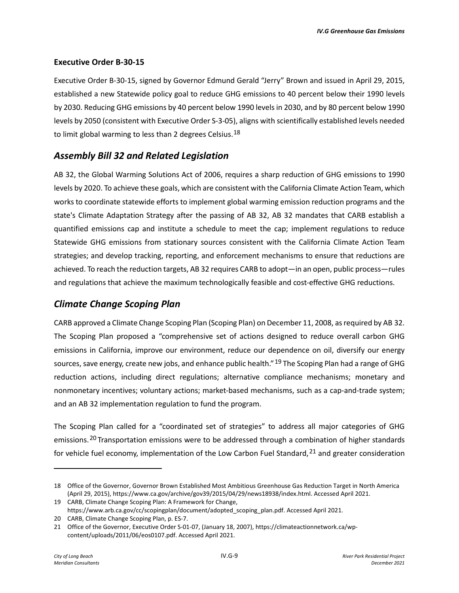#### **Executive Order B-30-15**

Executive Order B-30-15, signed by Governor Edmund Gerald "Jerry" Brown and issued in April 29, 2015, established a new Statewide policy goal to reduce GHG emissions to 40 percent below their 1990 levels by 2030. Reducing GHG emissions by 40 percent below 1990 levels in 2030, and by 80 percent below 1990 levels by 2050 (consistent with Executive Order S-3-05), aligns with scientifically established levels needed to limit global warming to less than 2 degrees Celsius.<sup>[18](#page-8-0)</sup>

## *Assembly Bill 32 and Related Legislation*

AB 32, the Global Warming Solutions Act of 2006, requires a sharp reduction of GHG emissions to 1990 levels by 2020. To achieve these goals, which are consistent with the California Climate Action Team, which works to coordinate statewide efforts to implement global warming emission reduction programs and the state's Climate Adaptation Strategy after the passing of AB 32, AB 32 mandates that CARB establish a quantified emissions cap and institute a schedule to meet the cap; implement regulations to reduce Statewide GHG emissions from stationary sources consistent with the California Climate Action Team strategies; and develop tracking, reporting, and enforcement mechanisms to ensure that reductions are achieved. To reach the reduction targets, AB 32 requires CARB to adopt—in an open, public process—rules and regulations that achieve the maximum technologically feasible and cost-effective GHG reductions.

## *Climate Change Scoping Plan*

CARB approved a Climate Change Scoping Plan (Scoping Plan) on December 11, 2008, as required by AB 32. The Scoping Plan proposed a "comprehensive set of actions designed to reduce overall carbon GHG emissions in California, improve our environment, reduce our dependence on oil, diversify our energy sources, save energy, create new jobs, and enhance public health." <sup>[19](#page-8-1)</sup> The Scoping Plan had a range of GHG reduction actions, including direct regulations; alternative compliance mechanisms; monetary and nonmonetary incentives; voluntary actions; market-based mechanisms, such as a cap-and-trade system; and an AB 32 implementation regulation to fund the program.

The Scoping Plan called for a "coordinated set of strategies" to address all major categories of GHG emissions.<sup>[20](#page-8-2)</sup> Transportation emissions were to be addressed through a combination of higher standards for vehicle fuel economy, implementation of the Low Carbon Fuel Standard,  $21$  and greater consideration

<span id="page-8-0"></span><sup>18</sup> Office of the Governor, Governor Brown Established Most Ambitious Greenhouse Gas Reduction Target in North America (April 29, 2015), https://www.ca.gov/archive/gov39/2015/04/29/news18938/index.html. Accessed April 2021.

<span id="page-8-1"></span><sup>19</sup> CARB, Climate Change Scoping Plan: A Framework for Change,

<span id="page-8-2"></span>https://www.arb.ca.gov/cc/scopingplan/document/adopted\_scoping\_plan.pdf. Accessed April 2021. 20 CARB, Climate Change Scoping Plan, p. ES-7.

<span id="page-8-3"></span><sup>21</sup> Office of the Governor, Executive Order S-01-07, (January 18, 2007), https://climateactionnetwork.ca/wpcontent/uploads/2011/06/eos0107.pdf. Accessed April 2021.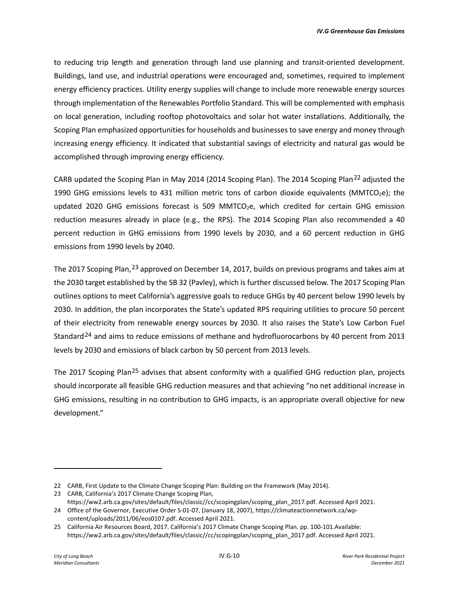to reducing trip length and generation through land use planning and transit-oriented development. Buildings, land use, and industrial operations were encouraged and, sometimes, required to implement energy efficiency practices. Utility energy supplies will change to include more renewable energy sources through implementation of the Renewables Portfolio Standard. This will be complemented with emphasis on local generation, including rooftop photovoltaics and solar hot water installations. Additionally, the Scoping Plan emphasized opportunities for households and businesses to save energy and money through increasing energy efficiency. It indicated that substantial savings of electricity and natural gas would be accomplished through improving energy efficiency.

CARB updated the Scoping Plan in May 2014 (2014 Scoping Plan). The 2014 Scoping Plan<sup>[22](#page-9-0)</sup> adjusted the 1990 GHG emissions levels to 431 million metric tons of carbon dioxide equivalents (MMTCO<sub>2</sub>e); the updated 2020 GHG emissions forecast is 509 MMTCO<sub>2</sub>e, which credited for certain GHG emission reduction measures already in place (e.g., the RPS). The 2014 Scoping Plan also recommended a 40 percent reduction in GHG emissions from 1990 levels by 2030, and a 60 percent reduction in GHG emissions from 1990 levels by 2040.

The 2017 Scoping Plan, <sup>[23](#page-9-1)</sup> approved on December 14, 2017, builds on previous programs and takes aim at the 2030 target established by the SB 32 (Pavley), which is further discussed below. The 2017 Scoping Plan outlines options to meet California's aggressive goals to reduce GHGs by 40 percent below 1990 levels by 2030. In addition, the plan incorporates the State's updated RPS requiring utilities to procure 50 percent of their electricity from renewable energy sources by 2030. It also raises the State's Low Carbon Fuel Standard<sup>[24](#page-9-2)</sup> and aims to reduce emissions of methane and hydrofluorocarbons by 40 percent from 2013 levels by 2030 and emissions of black carbon by 50 percent from 2013 levels.

The 2017 Scoping Plan<sup>[25](#page-9-3)</sup> advises that absent conformity with a qualified GHG reduction plan, projects should incorporate all feasible GHG reduction measures and that achieving "no net additional increase in GHG emissions, resulting in no contribution to GHG impacts, is an appropriate overall objective for new development."

<span id="page-9-1"></span><span id="page-9-0"></span><sup>22</sup> CARB, First Update to the Climate Change Scoping Plan: Building on the Framework (May 2014).

<sup>23</sup> CARB, California's 2017 Climate Change Scoping Plan, https://ww2.arb.ca.gov/sites/default/files/classic//cc/scopingplan/scoping\_plan\_2017.pdf. Accessed April 2021.

<span id="page-9-2"></span><sup>24</sup> Office of the Governor, Executive Order S-01-07, (January 18, 2007), https://climateactionnetwork.ca/wpcontent/uploads/2011/06/eos0107.pdf. Accessed April 2021.

<span id="page-9-3"></span><sup>25</sup> California Air Resources Board, 2017. California's 2017 Climate Change Scoping Plan. pp. 100-101.Available: https://ww2.arb.ca.gov/sites/default/files/classic//cc/scopingplan/scoping\_plan\_2017.pdf. Accessed April 2021.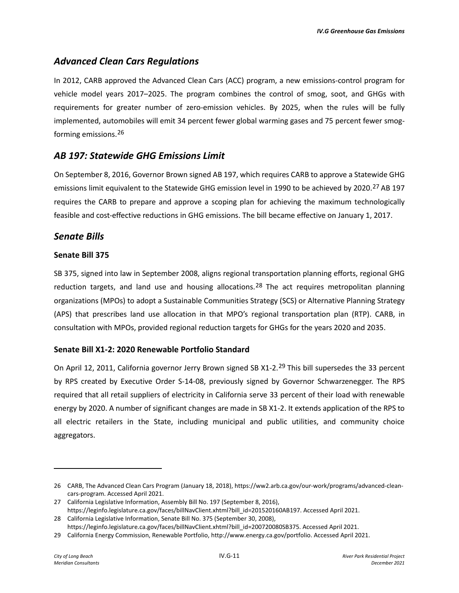## *Advanced Clean Cars Regulations*

In 2012, CARB approved the Advanced Clean Cars (ACC) program, a new emissions-control program for vehicle model years 2017–2025. The program combines the control of smog, soot, and GHGs with requirements for greater number of zero-emission vehicles. By 2025, when the rules will be fully implemented, automobiles will emit 34 percent fewer global warming gases and 75 percent fewer smogforming emissions.[26](#page-10-0)

## *AB 197: Statewide GHG Emissions Limit*

On September 8, 2016, Governor Brown signed AB 197, which requires CARB to approve a Statewide GHG emissions limit equivalent to the Statewide GHG emission level in 1990 to be achieved by 2020.<sup>[27](#page-10-1)</sup> AB 197 requires the CARB to prepare and approve a scoping plan for achieving the maximum technologically feasible and cost-effective reductions in GHG emissions. The bill became effective on January 1, 2017.

## *Senate Bills*

#### **Senate Bill 375**

SB 375, signed into law in September 2008, aligns regional transportation planning efforts, regional GHG reduction targets, and land use and housing allocations.<sup>[28](#page-10-2)</sup> The act requires metropolitan planning organizations (MPOs) to adopt a Sustainable Communities Strategy (SCS) or Alternative Planning Strategy (APS) that prescribes land use allocation in that MPO's regional transportation plan (RTP). CARB, in consultation with MPOs, provided regional reduction targets for GHGs for the years 2020 and 2035.

#### **Senate Bill X1-2: 2020 Renewable Portfolio Standard**

On April 12, 2011, California governor Jerry Brown signed SB X1-2.<sup>[29](#page-10-3)</sup> This bill supersedes the 33 percent by RPS created by Executive Order S-14-08, previously signed by Governor Schwarzenegger. The RPS required that all retail suppliers of electricity in California serve 33 percent of their load with renewable energy by 2020. A number of significant changes are made in SB X1-2. It extends application of the RPS to all electric retailers in the State, including municipal and public utilities, and community choice aggregators.

<span id="page-10-0"></span><sup>26</sup> CARB, The Advanced Clean Cars Program (January 18, 2018), https://ww2.arb.ca.gov/our-work/programs/advanced-cleancars-program. Accessed April 2021.

<span id="page-10-1"></span><sup>27</sup> California Legislative Information, Assembly Bill No. 197 (September 8, 2016), https://leginfo.legislature.ca.gov/faces/billNavClient.xhtml?bill\_id=201520160AB197. Accessed April 2021.

<span id="page-10-2"></span><sup>28</sup> California Legislative Information, Senate Bill No. 375 (September 30, 2008), https://leginfo.legislature.ca.gov/faces/billNavClient.xhtml?bill\_id=200720080SB375. Accessed April 2021.

<span id="page-10-3"></span><sup>29</sup> California Energy Commission, Renewable Portfolio, http://www.energy.ca.gov/portfolio. Accessed April 2021.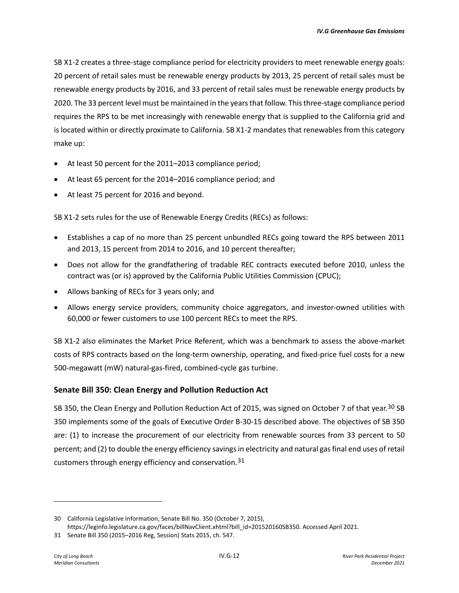SB X1-2 creates a three-stage compliance period for electricity providers to meet renewable energy goals: 20 percent of retail sales must be renewable energy products by 2013, 25 percent of retail sales must be renewable energy products by 2016, and 33 percent of retail sales must be renewable energy products by 2020. The 33 percent level must be maintained in the years that follow. This three-stage compliance period requires the RPS to be met increasingly with renewable energy that is supplied to the California grid and is located within or directly proximate to California. SB X1-2 mandates that renewables from this category make up:

- At least 50 percent for the 2011–2013 compliance period;
- At least 65 percent for the 2014–2016 compliance period; and
- At least 75 percent for 2016 and beyond.

SB X1-2 sets rules for the use of Renewable Energy Credits (RECs) as follows:

- Establishes a cap of no more than 25 percent unbundled RECs going toward the RPS between 2011 and 2013, 15 percent from 2014 to 2016, and 10 percent thereafter;
- Does not allow for the grandfathering of tradable REC contracts executed before 2010, unless the contract was (or is) approved by the California Public Utilities Commission (CPUC);
- Allows banking of RECs for 3 years only; and
- Allows energy service providers, community choice aggregators, and investor-owned utilities with 60,000 or fewer customers to use 100 percent RECs to meet the RPS.

SB X1-2 also eliminates the Market Price Referent, which was a benchmark to assess the above-market costs of RPS contracts based on the long-term ownership, operating, and fixed-price fuel costs for a new 500-megawatt (mW) natural-gas-fired, combined-cycle gas turbine.

#### **Senate Bill 350: Clean Energy and Pollution Reduction Act**

SB 350, the Clean Energy and Pollution Reduction Act of 2015, was signed on October 7 of that year.<sup>[30](#page-11-0)</sup> SB 350 implements some of the goals of Executive Order B-30-15 described above. The objectives of SB 350 are: (1) to increase the procurement of our electricity from renewable sources from 33 percent to 50 percent; and (2) to double the energy efficiency savings in electricity and natural gas final end uses of retail customers through energy efficiency and conservation.[31](#page-11-1)

<span id="page-11-0"></span><sup>30</sup> California Legislative Information, Senate Bill No. 350 (October 7, 2015), https://leginfo.legislature.ca.gov/faces/billNavClient.xhtml?bill\_id=201520160SB350. Accessed April 2021.

<span id="page-11-1"></span><sup>31</sup> Senate Bill 350 (2015–2016 Reg, Session) Stats 2015, ch. 547.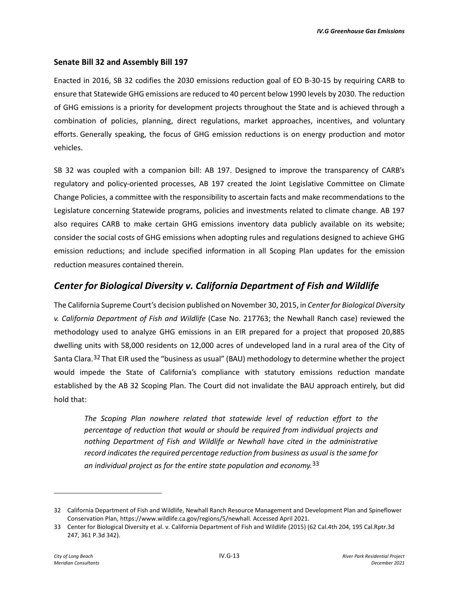#### **Senate Bill 32 and Assembly Bill 197**

Enacted in 2016, SB 32 codifies the 2030 emissions reduction goal of EO B-30-15 by requiring CARB to ensure that Statewide GHG emissions are reduced to 40 percent below 1990 levels by 2030. The reduction of GHG emissions is a priority for development projects throughout the State and is achieved through a combination of policies, planning, direct regulations, market approaches, incentives, and voluntary efforts. Generally speaking, the focus of GHG emission reductions is on energy production and motor vehicles.

SB 32 was coupled with a companion bill: AB 197. Designed to improve the transparency of CARB's regulatory and policy-oriented processes, AB 197 created the Joint Legislative Committee on Climate Change Policies, a committee with the responsibility to ascertain facts and make recommendations to the Legislature concerning Statewide programs, policies and investments related to climate change. AB 197 also requires CARB to make certain GHG emissions inventory data publicly available on its website; consider the social costs of GHG emissions when adopting rules and regulations designed to achieve GHG emission reductions; and include specified information in all Scoping Plan updates for the emission reduction measures contained therein.

## *Center for Biological Diversity v. California Department of Fish and Wildlife*

The California Supreme Court's decision published on November 30, 2015, in *Center for Biological Diversity v. California Department of Fish and Wildlife* (Case No. 217763; the Newhall Ranch case) reviewed the methodology used to analyze GHG emissions in an EIR prepared for a project that proposed 20,885 dwelling units with 58,000 residents on 12,000 acres of undeveloped land in a rural area of the City of Santa Clara.<sup>[32](#page-12-0)</sup> That EIR used the "business as usual" (BAU) methodology to determine whether the project would impede the State of California's compliance with statutory emissions reduction mandate established by the AB 32 Scoping Plan. The Court did not invalidate the BAU approach entirely, but did hold that:

*The Scoping Plan nowhere related that statewide level of reduction effort to the percentage of reduction that would or should be required from individual projects and nothing Department of Fish and Wildlife or Newhall have cited in the administrative record indicates the required percentage reduction from business as usual is the same for an individual project as for the entire state population and economy.*[33](#page-12-1)

<span id="page-12-0"></span><sup>32</sup> California Department of Fish and Wildlife, Newhall Ranch Resource Management and Development Plan and Spineflower Conservation Plan, https://www.wildlife.ca.gov/regions/5/newhall. Accessed April 2021.

<span id="page-12-1"></span><sup>33</sup> Center for Biological Diversity et al. v. California Department of Fish and Wildlife (2015) (62 Cal.4th 204, 195 Cal.Rptr.3d 247, 361 P.3d 342).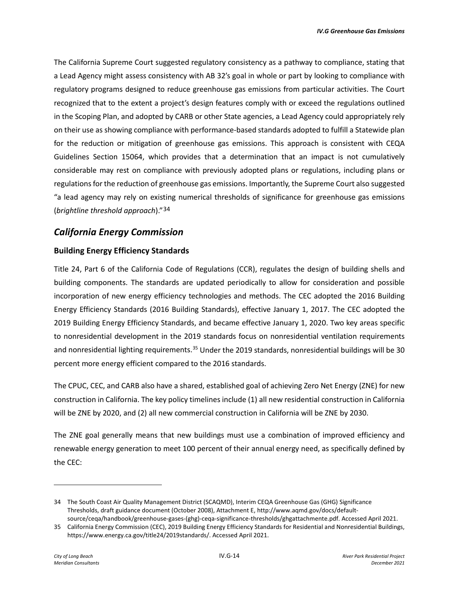The California Supreme Court suggested regulatory consistency as a pathway to compliance, stating that a Lead Agency might assess consistency with AB 32's goal in whole or part by looking to compliance with regulatory programs designed to reduce greenhouse gas emissions from particular activities. The Court recognized that to the extent a project's design features comply with or exceed the regulations outlined in the Scoping Plan, and adopted by CARB or other State agencies, a Lead Agency could appropriately rely on their use as showing compliance with performance-based standards adopted to fulfill a Statewide plan for the reduction or mitigation of greenhouse gas emissions. This approach is consistent with CEQA Guidelines Section 15064, which provides that a determination that an impact is not cumulatively considerable may rest on compliance with previously adopted plans or regulations, including plans or regulations for the reduction of greenhouse gas emissions. Importantly, the Supreme Court also suggested "a lead agency may rely on existing numerical thresholds of significance for greenhouse gas emissions (*brightline threshold approach*)."[34](#page-13-0)

## *California Energy Commission*

#### **Building Energy Efficiency Standards**

Title 24, Part 6 of the California Code of Regulations (CCR), regulates the design of building shells and building components. The standards are updated periodically to allow for consideration and possible incorporation of new energy efficiency technologies and methods. The CEC adopted the 2016 Building Energy Efficiency Standards (2016 Building Standards), effective January 1, 2017. The CEC adopted the 2019 Building Energy Efficiency Standards, and became effective January 1, 2020. Two key areas specific to nonresidential development in the 2019 standards focus on nonresidential ventilation requirements and nonresidential lighting requirements.<sup>[35](#page-13-1)</sup> Under the 2019 standards, nonresidential buildings will be 30 percent more energy efficient compared to the 2016 standards.

The CPUC, CEC, and CARB also have a shared, established goal of achieving Zero Net Energy (ZNE) for new construction in California. The key policy timelines include (1) all new residential construction in California will be ZNE by 2020, and (2) all new commercial construction in California will be ZNE by 2030.

The ZNE goal generally means that new buildings must use a combination of improved efficiency and renewable energy generation to meet 100 percent of their annual energy need, as specifically defined by the CEC:

<span id="page-13-0"></span><sup>34</sup> The South Coast Air Quality Management District (SCAQMD), Interim CEQA Greenhouse Gas (GHG) Significance Thresholds, draft guidance document (October 2008), Attachment E, http://www.aqmd.gov/docs/defaultsource/ceqa/handbook/greenhouse-gases-(ghg)-ceqa-significance-thresholds/ghgattachmente.pdf. Accessed April 2021.

<span id="page-13-1"></span><sup>35</sup> California Energy Commission (CEC), 2019 Building Energy Efficiency Standards for Residential and Nonresidential Buildings, https://www.energy.ca.gov/title24/2019standards/. Accessed April 2021.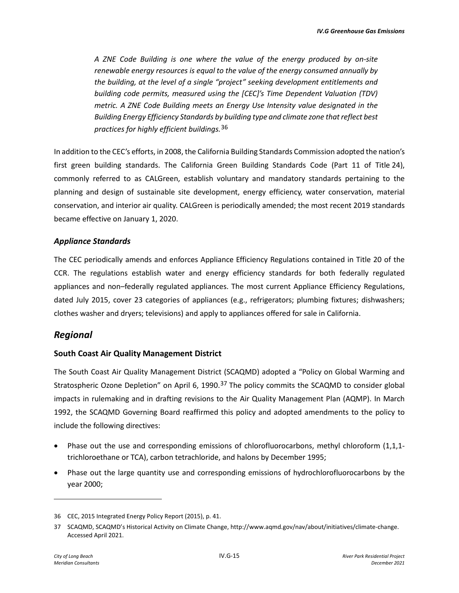*A ZNE Code Building is one where the value of the energy produced by on-site renewable energy resources is equal to the value of the energy consumed annually by the building, at the level of a single "project" seeking development entitlements and building code permits, measured using the [CEC]'s Time Dependent Valuation (TDV) metric. A ZNE Code Building meets an Energy Use Intensity value designated in the Building Energy Efficiency Standards by building type and climate zone that reflect best practices for highly efficient buildings.*[36](#page-14-0)

In addition to the CEC's efforts, in 2008, the California Building Standards Commission adopted the nation's first green building standards. The California Green Building Standards Code (Part 11 of Title 24), commonly referred to as CALGreen, establish voluntary and mandatory standards pertaining to the planning and design of sustainable site development, energy efficiency, water conservation, material conservation, and interior air quality. CALGreen is periodically amended; the most recent 2019 standards became effective on January 1, 2020.

#### *Appliance Standards*

The CEC periodically amends and enforces Appliance Efficiency Regulations contained in Title 20 of the CCR. The regulations establish water and energy efficiency standards for both federally regulated appliances and non–federally regulated appliances. The most current Appliance Efficiency Regulations, dated July 2015, cover 23 categories of appliances (e.g., refrigerators; plumbing fixtures; dishwashers; clothes washer and dryers; televisions) and apply to appliances offered for sale in California.

## *Regional*

#### **South Coast Air Quality Management District**

The South Coast Air Quality Management District (SCAQMD) adopted a "Policy on Global Warming and Stratospheric Ozone Depletion" on April 6, 1990.<sup>[37](#page-14-1)</sup> The policy commits the SCAQMD to consider global impacts in rulemaking and in drafting revisions to the Air Quality Management Plan (AQMP). In March 1992, the SCAQMD Governing Board reaffirmed this policy and adopted amendments to the policy to include the following directives:

- Phase out the use and corresponding emissions of chlorofluorocarbons, methyl chloroform (1,1,1trichloroethane or TCA), carbon tetrachloride, and halons by December 1995;
- Phase out the large quantity use and corresponding emissions of hydrochlorofluorocarbons by the year 2000;

<span id="page-14-0"></span><sup>36</sup> CEC, 2015 Integrated Energy Policy Report (2015), p. 41.

<span id="page-14-1"></span><sup>37</sup> SCAQMD, SCAQMD's Historical Activity on Climate Change, http://www.aqmd.gov/nav/about/initiatives/climate-change. Accessed April 2021.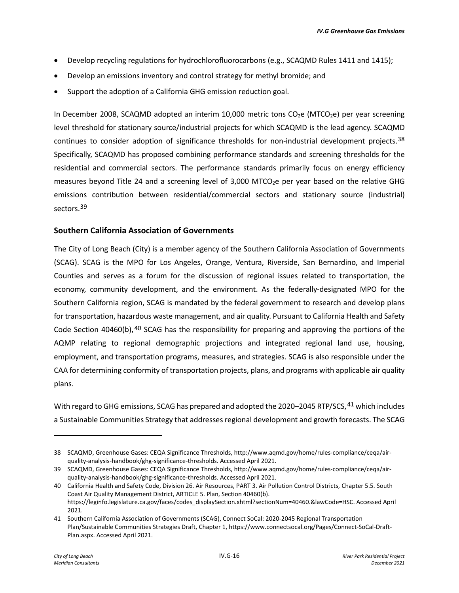- Develop recycling regulations for hydrochlorofluorocarbons (e.g., SCAQMD Rules 1411 and 1415);
- Develop an emissions inventory and control strategy for methyl bromide; and
- Support the adoption of a California GHG emission reduction goal.

In December 2008, SCAQMD adopted an interim 10,000 metric tons  $CO<sub>2</sub>e$  (MTCO<sub>2</sub>e) per year screening level threshold for stationary source/industrial projects for which SCAQMD is the lead agency. SCAQMD continues to consider adoption of significance thresholds for non-industrial development projects.<sup>[38](#page-15-0)</sup> Specifically, SCAQMD has proposed combining performance standards and screening thresholds for the residential and commercial sectors. The performance standards primarily focus on energy efficiency measures beyond Title 24 and a screening level of 3,000 MTCO<sub>2</sub>e per year based on the relative GHG emissions contribution between residential/commercial sectors and stationary source (industrial) sectors.<sup>[39](#page-15-1)</sup>

#### **Southern California Association of Governments**

The City of Long Beach (City) is a member agency of the Southern California Association of Governments (SCAG). SCAG is the MPO for Los Angeles, Orange, Ventura, Riverside, San Bernardino, and Imperial Counties and serves as a forum for the discussion of regional issues related to transportation, the economy, community development, and the environment. As the federally-designated MPO for the Southern California region, SCAG is mandated by the federal government to research and develop plans for transportation, hazardous waste management, and air quality. Pursuant to California Health and Safety Code Section [40](#page-15-2)460(b),  $40$  SCAG has the responsibility for preparing and approving the portions of the AQMP relating to regional demographic projections and integrated regional land use, housing, employment, and transportation programs, measures, and strategies. SCAG is also responsible under the CAA for determining conformity of transportation projects, plans, and programs with applicable air quality plans.

With regard to GHG emissions, SCAG has prepared and adopted the 2020–2045 RTP/SCS, <sup>[41](#page-15-3)</sup> which includes a Sustainable Communities Strategy that addresses regional development and growth forecasts. The SCAG

<span id="page-15-0"></span><sup>38</sup> SCAQMD, Greenhouse Gases: CEQA Significance Thresholds, http://www.aqmd.gov/home/rules-compliance/ceqa/airquality-analysis-handbook/ghg-significance-thresholds. Accessed April 2021.

<span id="page-15-1"></span><sup>39</sup> SCAQMD, Greenhouse Gases: CEQA Significance Thresholds, http://www.aqmd.gov/home/rules-compliance/ceqa/airquality-analysis-handbook/ghg-significance-thresholds. Accessed April 2021.

<span id="page-15-2"></span><sup>40</sup> California Health and Safety Code, Division 26. Air Resources, PART 3. Air Pollution Control Districts, Chapter 5.5. South Coast Air Quality Management District, ARTICLE 5. Plan, Section 40460(b). https://leginfo.legislature.ca.gov/faces/codes\_displaySection.xhtml?sectionNum=40460.&lawCode=HSC. Accessed April 2021.

<span id="page-15-3"></span><sup>41</sup> Southern California Association of Governments (SCAG), Connect SoCal: 2020-2045 Regional Transportation Plan/Sustainable Communities Strategies Draft, Chapter 1, https://www.connectsocal.org/Pages/Connect-SoCal-Draft-Plan.aspx. Accessed April 2021.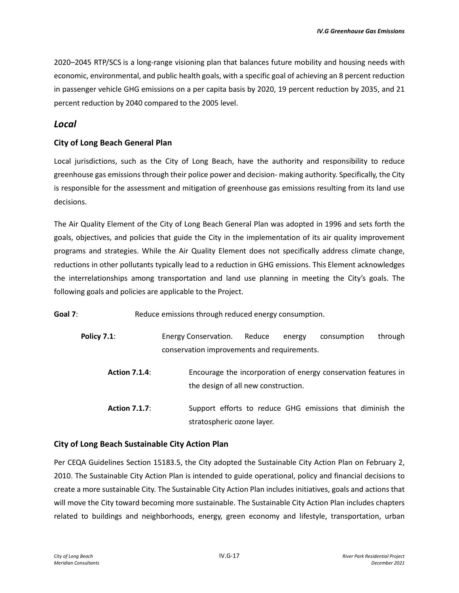2020–2045 RTP/SCS is a long-range visioning plan that balances future mobility and housing needs with economic, environmental, and public health goals, with a specific goal of achieving an 8 percent reduction in passenger vehicle GHG emissions on a per capita basis by 2020, 19 percent reduction by 2035, and 21 percent reduction by 2040 compared to the 2005 level.

#### *Local*

#### **City of Long Beach General Plan**

Local jurisdictions, such as the City of Long Beach, have the authority and responsibility to reduce greenhouse gas emissions through their police power and decision- making authority. Specifically, the City is responsible for the assessment and mitigation of greenhouse gas emissions resulting from its land use decisions.

The Air Quality Element of the City of Long Beach General Plan was adopted in 1996 and sets forth the goals, objectives, and policies that guide the City in the implementation of its air quality improvement programs and strategies. While the Air Quality Element does not specifically address climate change, reductions in other pollutants typically lead to a reduction in GHG emissions. This Element acknowledges the interrelationships among transportation and land use planning in meeting the City's goals. The following goals and policies are applicable to the Project.

**Goal 7:** Reduce emissions through reduced energy consumption.

| <b>Policy 7.1:</b> | Energy Conservation.                        | Reduce | energy | consumption through |  |
|--------------------|---------------------------------------------|--------|--------|---------------------|--|
|                    | conservation improvements and requirements. |        |        |                     |  |

- **Action 7.1.4**: Encourage the incorporation of energy conservation features in the design of all new construction.
- **Action 7.1.7**: Support efforts to reduce GHG emissions that diminish the stratospheric ozone layer.

#### **City of Long Beach Sustainable City Action Plan**

Per CEQA Guidelines Section 15183.5, the City adopted the Sustainable City Action Plan on February 2, 2010. The Sustainable City Action Plan is intended to guide operational, policy and financial decisions to create a more sustainable City. The Sustainable City Action Plan includes initiatives, goals and actions that will move the City toward becoming more sustainable. The Sustainable City Action Plan includes chapters related to buildings and neighborhoods, energy, green economy and lifestyle, transportation, urban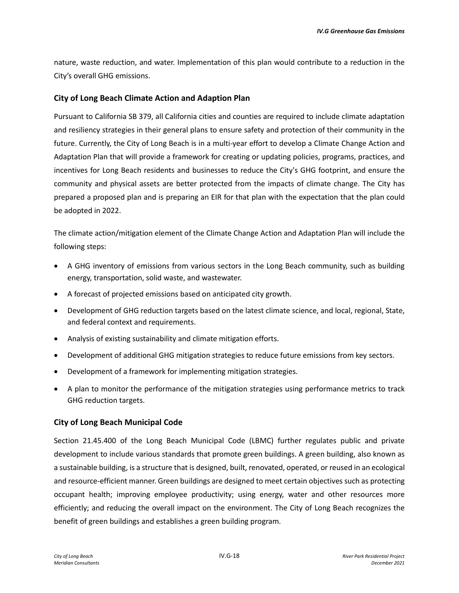nature, waste reduction, and water. Implementation of this plan would contribute to a reduction in the City's overall GHG emissions.

#### **City of Long Beach Climate Action and Adaption Plan**

Pursuant to California SB 379, all California cities and counties are required to include climate adaptation and resiliency strategies in their general plans to ensure safety and protection of their community in the future. Currently, the City of Long Beach is in a multi-year effort to develop a Climate Change Action and Adaptation Plan that will provide a framework for creating or updating policies, programs, practices, and incentives for Long Beach residents and businesses to reduce the City's GHG footprint, and ensure the community and physical assets are better protected from the impacts of climate change. The City has prepared a proposed plan and is preparing an EIR for that plan with the expectation that the plan could be adopted in 2022.

The climate action/mitigation element of the Climate Change Action and Adaptation Plan will include the following steps:

- A GHG inventory of emissions from various sectors in the Long Beach community, such as building energy, transportation, solid waste, and wastewater.
- A forecast of projected emissions based on anticipated city growth.
- Development of GHG reduction targets based on the latest climate science, and local, regional, State, and federal context and requirements.
- Analysis of existing sustainability and climate mitigation efforts.
- Development of additional GHG mitigation strategies to reduce future emissions from key sectors.
- Development of a framework for implementing mitigation strategies.
- A plan to monitor the performance of the mitigation strategies using performance metrics to track GHG reduction targets.

#### **City of Long Beach Municipal Code**

Section 21.45.400 of the Long Beach Municipal Code (LBMC) further regulates public and private development to include various standards that promote green buildings. A green building, also known as a sustainable building, is a structure that is designed, built, renovated, operated, or reused in an ecological and resource-efficient manner. Green buildings are designed to meet certain objectives such as protecting occupant health; improving employee productivity; using energy, water and other resources more efficiently; and reducing the overall impact on the environment. The City of Long Beach recognizes the benefit of green buildings and establishes a green building program.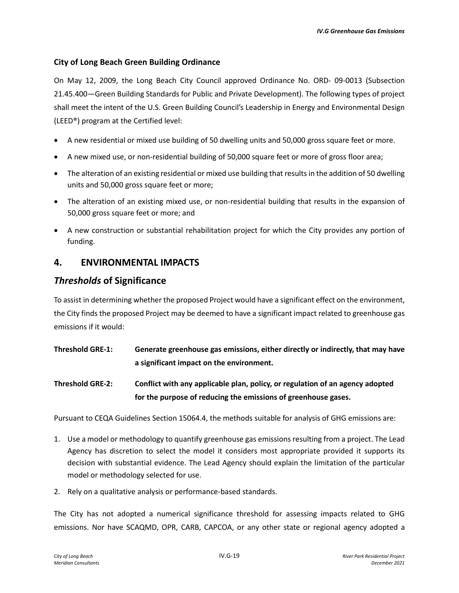## **City of Long Beach Green Building Ordinance**

On May 12, 2009, the Long Beach City Council approved Ordinance No. ORD- 09-0013 (Subsection 21.45.400—Green Building Standards for Public and Private Development). The following types of project shall meet the intent of the U.S. Green Building Council's Leadership in Energy and Environmental Design (LEED®) program at the Certified level:

- A new residential or mixed use building of 50 dwelling units and 50,000 gross square feet or more.
- A new mixed use, or non-residential building of 50,000 square feet or more of gross floor area;
- The alteration of an existing residential or mixed use building that results in the addition of 50 dwelling units and 50,000 gross square feet or more;
- The alteration of an existing mixed use, or non-residential building that results in the expansion of 50,000 gross square feet or more; and
- A new construction or substantial rehabilitation project for which the City provides any portion of funding.

## **4. ENVIRONMENTAL IMPACTS**

## *Thresholds* **of Significance**

To assist in determining whether the proposed Project would have a significant effect on the environment, the City finds the proposed Project may be deemed to have a significant impact related to greenhouse gas emissions if it would:

- **Threshold GRE-1: Generate greenhouse gas emissions, either directly or indirectly, that may have a significant impact on the environment.**
- **Threshold GRE-2: Conflict with any applicable plan, policy, or regulation of an agency adopted for the purpose of reducing the emissions of greenhouse gases.**

Pursuant to CEQA Guidelines Section 15064.4, the methods suitable for analysis of GHG emissions are:

- 1. Use a model or methodology to quantify greenhouse gas emissions resulting from a project. The Lead Agency has discretion to select the model it considers most appropriate provided it supports its decision with substantial evidence. The Lead Agency should explain the limitation of the particular model or methodology selected for use.
- 2. Rely on a qualitative analysis or performance-based standards.

The City has not adopted a numerical significance threshold for assessing impacts related to GHG emissions. Nor have SCAQMD, OPR, CARB, CAPCOA, or any other state or regional agency adopted a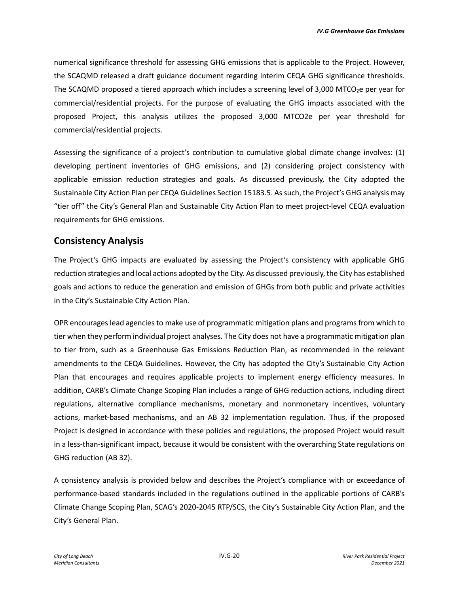numerical significance threshold for assessing GHG emissions that is applicable to the Project. However, the SCAQMD released a draft guidance document regarding interim CEQA GHG significance thresholds. The SCAQMD proposed a tiered approach which includes a screening level of  $3,000$  MTCO<sub>2</sub>e per year for commercial/residential projects. For the purpose of evaluating the GHG impacts associated with the proposed Project, this analysis utilizes the proposed 3,000 MTCO2e per year threshold for commercial/residential projects.

Assessing the significance of a project's contribution to cumulative global climate change involves: (1) developing pertinent inventories of GHG emissions, and (2) considering project consistency with applicable emission reduction strategies and goals. As discussed previously, the City adopted the Sustainable City Action Plan per CEQA Guidelines Section 15183.5. As such, the Project's GHG analysis may "tier off" the City's General Plan and Sustainable City Action Plan to meet project-level CEQA evaluation requirements for GHG emissions.

## **Consistency Analysis**

The Project's GHG impacts are evaluated by assessing the Project's consistency with applicable GHG reduction strategies and local actions adopted by the City. As discussed previously, the City has established goals and actions to reduce the generation and emission of GHGs from both public and private activities in the City's Sustainable City Action Plan.

OPR encourages lead agencies to make use of programmatic mitigation plans and programs from which to tier when they perform individual project analyses. The City does not have a programmatic mitigation plan to tier from, such as a Greenhouse Gas Emissions Reduction Plan, as recommended in the relevant amendments to the CEQA Guidelines. However, the City has adopted the City's Sustainable City Action Plan that encourages and requires applicable projects to implement energy efficiency measures. In addition, CARB's Climate Change Scoping Plan includes a range of GHG reduction actions, including direct regulations, alternative compliance mechanisms, monetary and nonmonetary incentives, voluntary actions, market-based mechanisms, and an AB 32 implementation regulation. Thus, if the proposed Project is designed in accordance with these policies and regulations, the proposed Project would result in a less-than-significant impact, because it would be consistent with the overarching State regulations on GHG reduction (AB 32).

A consistency analysis is provided below and describes the Project's compliance with or exceedance of performance-based standards included in the regulations outlined in the applicable portions of CARB's Climate Change Scoping Plan, SCAG's 2020-2045 RTP/SCS, the City's Sustainable City Action Plan, and the City's General Plan.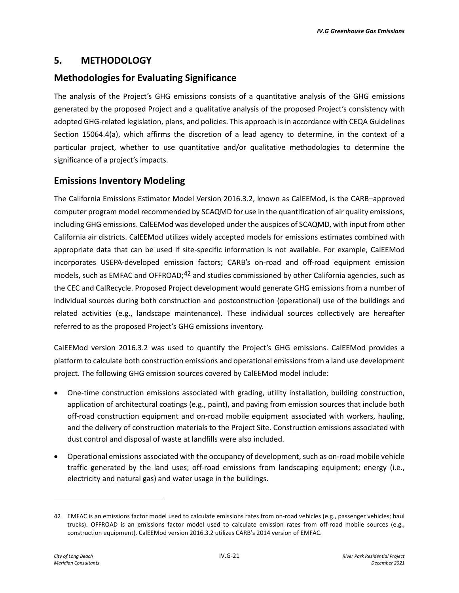## **5. METHODOLOGY**

## **Methodologies for Evaluating Significance**

The analysis of the Project's GHG emissions consists of a quantitative analysis of the GHG emissions generated by the proposed Project and a qualitative analysis of the proposed Project's consistency with adopted GHG-related legislation, plans, and policies. This approach is in accordance with CEQA Guidelines Section 15064.4(a), which affirms the discretion of a lead agency to determine, in the context of a particular project, whether to use quantitative and/or qualitative methodologies to determine the significance of a project's impacts.

## **Emissions Inventory Modeling**

The California Emissions Estimator Model Version 2016.3.2, known as CalEEMod, is the CARB–approved computer program model recommended by SCAQMD for use in the quantification of air quality emissions, including GHG emissions. CalEEMod was developed under the auspices of SCAQMD, with input from other California air districts. CalEEMod utilizes widely accepted models for emissions estimates combined with appropriate data that can be used if site-specific information is not available. For example, CalEEMod incorporates USEPA-developed emission factors; CARB's on-road and off-road equipment emission models, such as EMFAC and OFFROAD;<sup>[42](#page-20-0)</sup> and studies commissioned by other California agencies, such as the CEC and CalRecycle. Proposed Project development would generate GHG emissions from a number of individual sources during both construction and postconstruction (operational) use of the buildings and related activities (e.g., landscape maintenance). These individual sources collectively are hereafter referred to as the proposed Project's GHG emissions inventory.

CalEEMod version 2016.3.2 was used to quantify the Project's GHG emissions. CalEEMod provides a platform to calculate both construction emissions and operational emissions from a land use development project. The following GHG emission sources covered by CalEEMod model include:

- One-time construction emissions associated with grading, utility installation, building construction, application of architectural coatings (e.g., paint), and paving from emission sources that include both off-road construction equipment and on-road mobile equipment associated with workers, hauling, and the delivery of construction materials to the Project Site. Construction emissions associated with dust control and disposal of waste at landfills were also included.
- Operational emissions associated with the occupancy of development, such as on-road mobile vehicle traffic generated by the land uses; off-road emissions from landscaping equipment; energy (i.e., electricity and natural gas) and water usage in the buildings.

<span id="page-20-0"></span><sup>42</sup> EMFAC is an emissions factor model used to calculate emissions rates from on-road vehicles (e.g., passenger vehicles; haul trucks). OFFROAD is an emissions factor model used to calculate emission rates from off-road mobile sources (e.g., construction equipment). CalEEMod version 2016.3.2 utilizes CARB's 2014 version of EMFAC.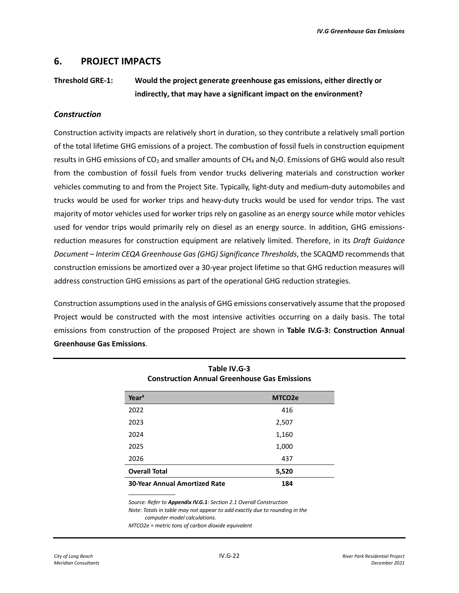## **6. PROJECT IMPACTS**

## **Threshold GRE-1: Would the project generate greenhouse gas emissions, either directly or indirectly, that may have a significant impact on the environment?**

#### *Construction*

Construction activity impacts are relatively short in duration, so they contribute a relatively small portion of the total lifetime GHG emissions of a project. The combustion of fossil fuels in construction equipment results in GHG emissions of CO2 and smaller amounts of CH4 and N2O. Emissions of GHG would also result from the combustion of fossil fuels from vendor trucks delivering materials and construction worker vehicles commuting to and from the Project Site. Typically, light-duty and medium-duty automobiles and trucks would be used for worker trips and heavy-duty trucks would be used for vendor trips. The vast majority of motor vehicles used for worker trips rely on gasoline as an energy source while motor vehicles used for vendor trips would primarily rely on diesel as an energy source. In addition, GHG emissionsreduction measures for construction equipment are relatively limited. Therefore, in its *Draft Guidance Document – Interim CEQA Greenhouse Gas (GHG) Significance Thresholds*, the SCAQMD recommends that construction emissions be amortized over a 30-year project lifetime so that GHG reduction measures will address construction GHG emissions as part of the operational GHG reduction strategies.

Construction assumptions used in the analysis of GHG emissions conservatively assume that the proposed Project would be constructed with the most intensive activities occurring on a daily basis. The total emissions from construction of the proposed Project are shown in **Table IV.G-3: Construction Annual Greenhouse Gas Emissions**.

> **Table IV.G-3 Construction Annual Greenhouse Gas Emissions**

| Year <sup>a</sup>                    | MTCO <sub>2</sub> e |
|--------------------------------------|---------------------|
| 2022                                 | 416                 |
| 2023                                 | 2,507               |
| 2024                                 | 1,160               |
| 2025                                 | 1,000               |
| 2026                                 | 437                 |
| <b>Overall Total</b>                 | 5,520               |
| <b>30-Year Annual Amortized Rate</b> | 184                 |

*Source: Refer to Appendix IV.G.1: Section 2.1 Overall Construction Note: Totals in table may not appear to add exactly due to rounding in the computer model calculations.*

*MTCO2e = metric tons of carbon dioxide equivalent*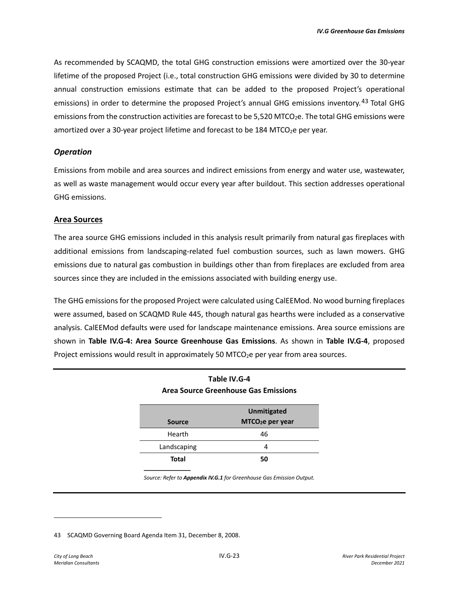As recommended by SCAQMD, the total GHG construction emissions were amortized over the 30-year lifetime of the proposed Project (i.e., total construction GHG emissions were divided by 30 to determine annual construction emissions estimate that can be added to the proposed Project's operational emissions) in order to determine the proposed Project's annual GHG emissions inventory.<sup>[43](#page-22-0)</sup> Total GHG emissions from the construction activities are forecast to be 5,520 MTCO<sub>2</sub>e. The total GHG emissions were amortized over a 30-year project lifetime and forecast to be 184 MTCO<sub>2</sub>e per year.

#### *Operation*

Emissions from mobile and area sources and indirect emissions from energy and water use, wastewater, as well as waste management would occur every year after buildout. This section addresses operational GHG emissions.

#### **Area Sources**

The area source GHG emissions included in this analysis result primarily from natural gas fireplaces with additional emissions from landscaping-related fuel combustion sources, such as lawn mowers. GHG emissions due to natural gas combustion in buildings other than from fireplaces are excluded from area sources since they are included in the emissions associated with building energy use.

The GHG emissions for the proposed Project were calculated using CalEEMod. No wood burning fireplaces were assumed, based on SCAQMD Rule 445, though natural gas hearths were included as a conservative analysis. CalEEMod defaults were used for landscape maintenance emissions. Area source emissions are shown in **Table IV.G-4: Area Source Greenhouse Gas Emissions**. As shown in **Table IV.G-4**, proposed Project emissions would result in approximately 50 MTCO<sub>2</sub>e per year from area sources.

**Table IV.G-4** 

| 1991 - 1992 - 1994 I<br>Area Source Greenhouse Gas Emissions |                              |  |  |  |
|--------------------------------------------------------------|------------------------------|--|--|--|
| <b>Unmitigated</b>                                           |                              |  |  |  |
| <b>Source</b>                                                | MTCO <sub>2</sub> e per year |  |  |  |
| Hearth                                                       | 46                           |  |  |  |
| Landscaping<br>4                                             |                              |  |  |  |
| Total<br>50                                                  |                              |  |  |  |

*Source: Refer to Appendix IV.G.1 for Greenhouse Gas Emission Output.*

<span id="page-22-0"></span><sup>43</sup> SCAQMD Governing Board Agenda Item 31, December 8, 2008.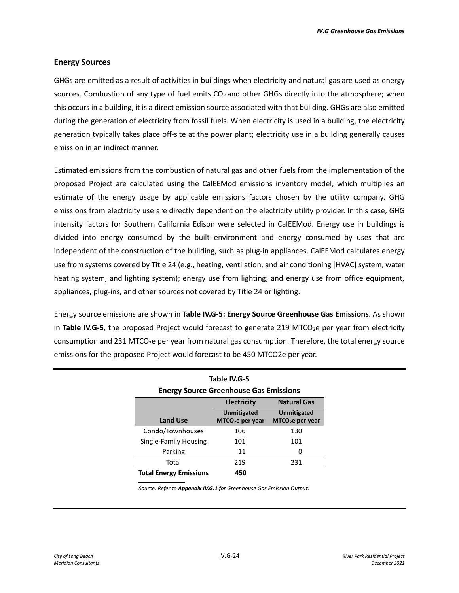#### **Energy Sources**

GHGs are emitted as a result of activities in buildings when electricity and natural gas are used as energy sources. Combustion of any type of fuel emits  $CO<sub>2</sub>$  and other GHGs directly into the atmosphere; when this occurs in a building, it is a direct emission source associated with that building. GHGs are also emitted during the generation of electricity from fossil fuels. When electricity is used in a building, the electricity generation typically takes place off-site at the power plant; electricity use in a building generally causes emission in an indirect manner.

Estimated emissions from the combustion of natural gas and other fuels from the implementation of the proposed Project are calculated using the CalEEMod emissions inventory model, which multiplies an estimate of the energy usage by applicable emissions factors chosen by the utility company. GHG emissions from electricity use are directly dependent on the electricity utility provider. In this case, GHG intensity factors for Southern California Edison were selected in CalEEMod. Energy use in buildings is divided into energy consumed by the built environment and energy consumed by uses that are independent of the construction of the building, such as plug-in appliances. CalEEMod calculates energy use from systems covered by Title 24 (e.g., heating, ventilation, and air conditioning [HVAC] system, water heating system, and lighting system); energy use from lighting; and energy use from office equipment, appliances, plug-ins, and other sources not covered by Title 24 or lighting.

Energy source emissions are shown in **Table IV.G-5: Energy Source Greenhouse Gas Emissions**. As shown in **Table IV.G-5**, the proposed Project would forecast to generate 219 MTCO<sub>2</sub>e per year from electricity consumption and 231 MTCO<sub>2</sub>e per year from natural gas consumption. Therefore, the total energy source emissions for the proposed Project would forecast to be 450 MTCO2e per year.

| Table IV.G-5                                  |                                          |                              |  |  |  |
|-----------------------------------------------|------------------------------------------|------------------------------|--|--|--|
| <b>Energy Source Greenhouse Gas Emissions</b> |                                          |                              |  |  |  |
|                                               | <b>Electricity</b><br><b>Natural Gas</b> |                              |  |  |  |
|                                               | <b>Unmitigated</b><br><b>Unmitigated</b> |                              |  |  |  |
| <b>Land Use</b>                               | MTCO <sub>2</sub> e per year             | MTCO <sub>2</sub> e per year |  |  |  |
| Condo/Townhouses                              | 106                                      | 130                          |  |  |  |
| Single-Family Housing                         | 101                                      | 101                          |  |  |  |
| Parking                                       | 11                                       | O                            |  |  |  |
| Total                                         | 219                                      | 231                          |  |  |  |
| <b>Total Energy Emissions</b><br>450          |                                          |                              |  |  |  |

*Source: Refer to Appendix IV.G.1 for Greenhouse Gas Emission Output.*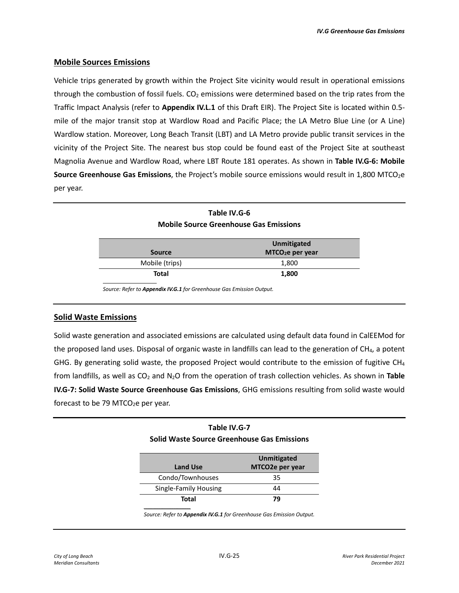#### **Mobile Sources Emissions**

Vehicle trips generated by growth within the Project Site vicinity would result in operational emissions through the combustion of fossil fuels.  $CO<sub>2</sub>$  emissions were determined based on the trip rates from the Traffic Impact Analysis (refer to **Appendix IV.L.1** of this Draft EIR). The Project Site is located within 0.5 mile of the major transit stop at Wardlow Road and Pacific Place; the LA Metro Blue Line (or A Line) Wardlow station. Moreover, Long Beach Transit (LBT) and LA Metro provide public transit services in the vicinity of the Project Site. The nearest bus stop could be found east of the Project Site at southeast Magnolia Avenue and Wardlow Road, where LBT Route 181 operates. As shown in **Table IV.G-6: Mobile Source Greenhouse Gas Emissions**, the Project's mobile source emissions would result in 1,800 MTCO<sub>2</sub>e per year.

| <b>Mobile Source Greenhouse Gas Emissions</b>                |       |  |  |
|--------------------------------------------------------------|-------|--|--|
| Unmitigated<br>MTCO <sub>2</sub> e per year<br><b>Source</b> |       |  |  |
| Mobile (trips)                                               | 1,800 |  |  |
| <b>Total</b><br>1,800                                        |       |  |  |
|                                                              |       |  |  |

**Table IV.G-6 Mobile Source Greenhouse Gas Emissions**

*Source: Refer to Appendix IV.G.1 for Greenhouse Gas Emission Output.*

*\_\_\_\_\_\_\_\_\_\_\_\_\_\_\_\_\_\_\_\_\_\_\_\_\_*

#### **Solid Waste Emissions**

Solid waste generation and associated emissions are calculated using default data found in CalEEMod for the proposed land uses. Disposal of organic waste in landfills can lead to the generation of CH<sub>4</sub>, a potent GHG. By generating solid waste, the proposed Project would contribute to the emission of fugitive CH<sub>4</sub> from landfills, as well as CO2 and N2O from the operation of trash collection vehicles. As shown in **Table IV.G-7: Solid Waste Source Greenhouse Gas Emissions**, GHG emissions resulting from solid waste would forecast to be 79 MTCO<sub>2</sub>e per year.

#### **Table IV.G-7**

#### **Solid Waste Source Greenhouse Gas Emissions**

| Land Use              | Unmitigated<br>MTCO2e per year |
|-----------------------|--------------------------------|
| Condo/Townhouses      | 35                             |
| Single-Family Housing | 44                             |
| Total                 | 79                             |

*Source: Refer to Appendix IV.G.1 for Greenhouse Gas Emission Output.*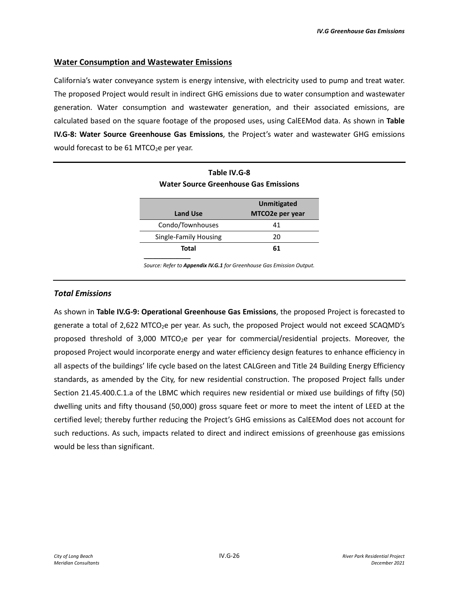#### **Water Consumption and Wastewater Emissions**

*\_\_\_\_\_\_\_\_\_\_\_\_\_\_\_\_\_\_\_\_\_\_\_\_\_*

California's water conveyance system is energy intensive, with electricity used to pump and treat water. The proposed Project would result in indirect GHG emissions due to water consumption and wastewater generation. Water consumption and wastewater generation, and their associated emissions, are calculated based on the square footage of the proposed uses, using CalEEMod data. As shown in **Table IV.G-8: Water Source Greenhouse Gas Emissions**, the Project's water and wastewater GHG emissions would forecast to be  $61$  MTCO<sub>2</sub>e per year.

| Table IV.G-8<br><b>Water Source Greenhouse Gas Emissions</b> |                                       |  |  |  |
|--------------------------------------------------------------|---------------------------------------|--|--|--|
| <b>Land Use</b>                                              | <b>Unmitigated</b><br>MTCO2e per year |  |  |  |
| Condo/Townhouses                                             | 41                                    |  |  |  |
| Single-Family Housing                                        | 20                                    |  |  |  |
| Total<br>61                                                  |                                       |  |  |  |

**Table IV.G-8** 

*Source: Refer to Appendix IV.G.1 for Greenhouse Gas Emission Output.*

#### *Total Emissions*

As shown in **Table IV.G-9: Operational Greenhouse Gas Emissions**, the proposed Project is forecasted to generate a total of 2,622 MTCO<sub>2</sub>e per year. As such, the proposed Project would not exceed SCAQMD's proposed threshold of 3,000 MTCO<sub>2</sub>e per year for commercial/residential projects. Moreover, the proposed Project would incorporate energy and water efficiency design features to enhance efficiency in all aspects of the buildings' life cycle based on the latest CALGreen and Title 24 Building Energy Efficiency standards, as amended by the City, for new residential construction. The proposed Project falls under Section 21.45.400.C.1.a of the LBMC which requires new residential or mixed use buildings of fifty (50) dwelling units and fifty thousand (50,000) gross square feet or more to meet the intent of LEED at the certified level; thereby further reducing the Project's GHG emissions as CalEEMod does not account for such reductions. As such, impacts related to direct and indirect emissions of greenhouse gas emissions would be less than significant.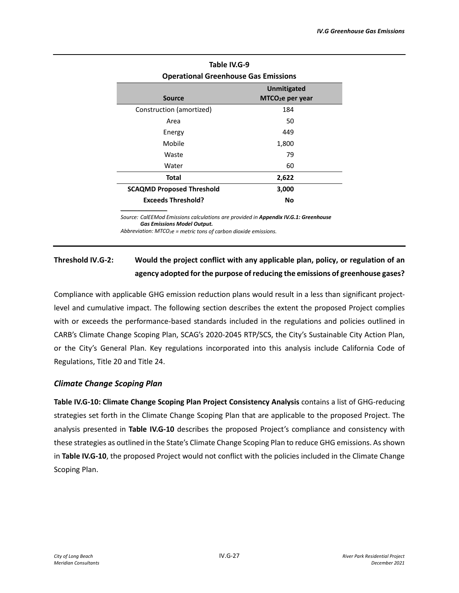| Table IV.G-9                                |                              |  |  |  |
|---------------------------------------------|------------------------------|--|--|--|
| <b>Operational Greenhouse Gas Emissions</b> |                              |  |  |  |
|                                             | <b>Unmitigated</b>           |  |  |  |
| Source                                      | MTCO <sub>2</sub> e per year |  |  |  |
| Construction (amortized)                    | 184                          |  |  |  |
| Area                                        | 50                           |  |  |  |
| Energy                                      | 449                          |  |  |  |
| Mobile                                      | 1,800                        |  |  |  |
| Waste                                       | 79                           |  |  |  |
| Water                                       | 60                           |  |  |  |
| Total<br>2,622                              |                              |  |  |  |
| <b>SCAQMD Proposed Threshold</b>            | 3,000                        |  |  |  |
| <b>Exceeds Threshold?</b>                   | No                           |  |  |  |

## *\_\_\_\_\_\_\_\_\_\_\_\_\_\_\_\_\_\_\_\_\_\_\_\_\_*

*Source: CalEEMod Emissions calculations are provided in Appendix IV.G.1: Greenhouse Gas Emissions Model Output.*

*Abbreviation: MTCO2e = metric tons of carbon dioxide emissions.*

## **Threshold IV.G-2: Would the project conflict with any applicable plan, policy, or regulation of an agency adopted for the purpose of reducing the emissions of greenhouse gases?**

Compliance with applicable GHG emission reduction plans would result in a less than significant projectlevel and cumulative impact. The following section describes the extent the proposed Project complies with or exceeds the performance-based standards included in the regulations and policies outlined in CARB's Climate Change Scoping Plan, SCAG's 2020-2045 RTP/SCS, the City's Sustainable City Action Plan, or the City's General Plan. Key regulations incorporated into this analysis include California Code of Regulations, Title 20 and Title 24.

#### *Climate Change Scoping Plan*

**Table IV.G-10: Climate Change Scoping Plan Project Consistency Analysis** contains a list of GHG-reducing strategies set forth in the Climate Change Scoping Plan that are applicable to the proposed Project. The analysis presented in **Table IV.G-10** describes the proposed Project's compliance and consistency with these strategies as outlined in the State's Climate Change Scoping Plan to reduce GHG emissions. As shown in **Table IV.G-10**, the proposed Project would not conflict with the policies included in the Climate Change Scoping Plan.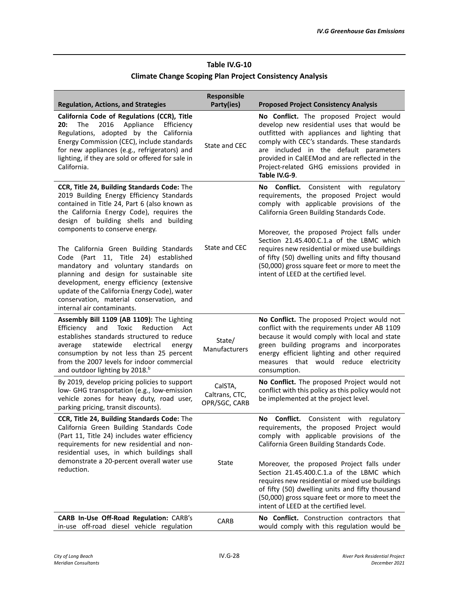## **Table IV.G-10 Climate Change Scoping Plan Project Consistency Analysis**

| <b>Regulation, Actions, and Strategies</b>                                                                                                                                                                                                                                                                                                 | <b>Responsible</b><br>Party(ies)           | <b>Proposed Project Consistency Analysis</b>                                                                                                                                                                                                                                                                                                                                                  |
|--------------------------------------------------------------------------------------------------------------------------------------------------------------------------------------------------------------------------------------------------------------------------------------------------------------------------------------------|--------------------------------------------|-----------------------------------------------------------------------------------------------------------------------------------------------------------------------------------------------------------------------------------------------------------------------------------------------------------------------------------------------------------------------------------------------|
| California Code of Regulations (CCR), Title<br>The<br>2016<br>Appliance<br>20:<br>Efficiency<br>Regulations, adopted by the California<br>Energy Commission (CEC), include standards<br>for new appliances (e.g., refrigerators) and<br>lighting, if they are sold or offered for sale in<br>California.                                   | State and CEC                              | No Conflict. The proposed Project would<br>develop new residential uses that would be<br>outfitted with appliances and lighting that<br>comply with CEC's standards. These standards<br>are included in the default parameters<br>provided in CalEEMod and are reflected in the<br>Project-related GHG emissions provided in<br>Table IV.G-9.                                                 |
| CCR, Title 24, Building Standards Code: The<br>2019 Building Energy Efficiency Standards<br>contained in Title 24, Part 6 (also known as<br>the California Energy Code), requires the<br>design of building shells and building<br>components to conserve energy.                                                                          |                                            | No Conflict. Consistent with regulatory<br>requirements, the proposed Project would<br>comply with applicable provisions of the<br>California Green Building Standards Code.<br>Moreover, the proposed Project falls under                                                                                                                                                                    |
| The California Green Building Standards<br>Code (Part 11, Title 24) established<br>mandatory and voluntary standards on<br>planning and design for sustainable site<br>development, energy efficiency (extensive<br>update of the California Energy Code), water<br>conservation, material conservation, and<br>internal air contaminants. | State and CEC                              | Section 21.45.400.C.1.a of the LBMC which<br>requires new residential or mixed use buildings<br>of fifty (50) dwelling units and fifty thousand<br>(50,000) gross square feet or more to meet the<br>intent of LEED at the certified level.                                                                                                                                                   |
| Assembly Bill 1109 (AB 1109): The Lighting<br>Efficiency<br>and<br>Toxic<br>Reduction<br>Act<br>establishes standards structured to reduce<br>statewide<br>electrical<br>average<br>energy<br>consumption by not less than 25 percent<br>from the 2007 levels for indoor commercial<br>and outdoor lighting by 2018. <sup>b</sup>          | State/<br>Manufacturers                    | No Conflict. The proposed Project would not<br>conflict with the requirements under AB 1109<br>because it would comply with local and state<br>green building programs and incorporates<br>energy efficient lighting and other required<br>measures that would reduce electricity<br>consumption.                                                                                             |
| By 2019, develop pricing policies to support<br>low- GHG transportation (e.g., low-emission<br>vehicle zones for heavy duty, road user,<br>parking pricing, transit discounts).                                                                                                                                                            | CalSTA,<br>Caltrans, CTC,<br>OPR/SGC, CARB | No Conflict. The proposed Project would not<br>conflict with this policy as this policy would not<br>be implemented at the project level.                                                                                                                                                                                                                                                     |
| CCR, Title 24, Building Standards Code: The<br>California Green Building Standards Code<br>(Part 11, Title 24) includes water efficiency<br>requirements for new residential and non-<br>residential uses, in which buildings shall<br>demonstrate a 20-percent overall water use<br>reduction.                                            | State                                      | <b>Conflict.</b> Consistent<br>No<br>with<br>regulatory<br>requirements, the proposed Project would<br>comply with applicable provisions of the<br>California Green Building Standards Code.<br>Moreover, the proposed Project falls under<br>Section 21.45.400.C.1.a of the LBMC which<br>requires new residential or mixed use buildings<br>of fifty (50) dwelling units and fifty thousand |
| CARB In-Use Off-Road Regulation: CARB's<br>in-use off-road diesel vehicle regulation                                                                                                                                                                                                                                                       | <b>CARB</b>                                | (50,000) gross square feet or more to meet the<br>intent of LEED at the certified level.<br>No Conflict. Construction contractors that<br>would comply with this regulation would be                                                                                                                                                                                                          |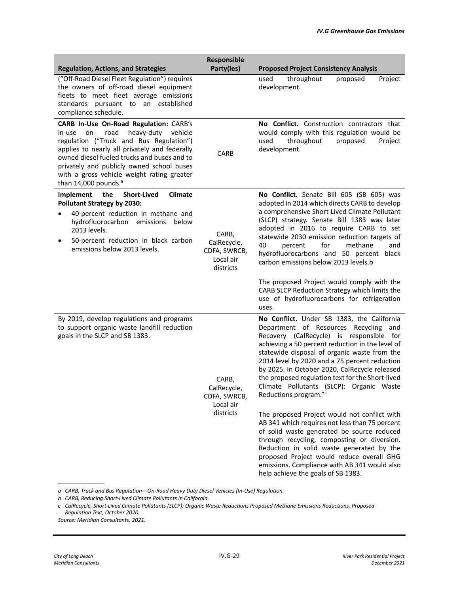|                                                                                                                                                                                                                                                                                                                                                                 | Responsible                                                    |                                                                                                                                                                                                                                                                                                                                                                                                                                                                                                                                                                                                                                                                                                                                                                                                                                                           |
|-----------------------------------------------------------------------------------------------------------------------------------------------------------------------------------------------------------------------------------------------------------------------------------------------------------------------------------------------------------------|----------------------------------------------------------------|-----------------------------------------------------------------------------------------------------------------------------------------------------------------------------------------------------------------------------------------------------------------------------------------------------------------------------------------------------------------------------------------------------------------------------------------------------------------------------------------------------------------------------------------------------------------------------------------------------------------------------------------------------------------------------------------------------------------------------------------------------------------------------------------------------------------------------------------------------------|
| <b>Regulation, Actions, and Strategies</b>                                                                                                                                                                                                                                                                                                                      | Party(ies)                                                     | <b>Proposed Project Consistency Analysis</b>                                                                                                                                                                                                                                                                                                                                                                                                                                                                                                                                                                                                                                                                                                                                                                                                              |
| ("Off-Road Diesel Fleet Regulation") requires<br>the owners of off-road diesel equipment<br>fleets to meet fleet average emissions<br>standards pursuant to an established<br>compliance schedule.                                                                                                                                                              |                                                                | throughout<br>used<br>proposed<br>Project<br>development.                                                                                                                                                                                                                                                                                                                                                                                                                                                                                                                                                                                                                                                                                                                                                                                                 |
| CARB In-Use On-Road Regulation: CARB's<br>road<br>heavy-duty vehicle<br>on-<br>in-use<br>regulation ("Truck and Bus Regulation")<br>applies to nearly all privately and federally<br>owned diesel fueled trucks and buses and to<br>privately and publicly owned school buses<br>with a gross vehicle weight rating greater<br>than 14,000 pounds. <sup>a</sup> | CARB                                                           | No Conflict. Construction contractors that<br>would comply with this regulation would be<br>throughout<br>proposed<br>Project<br>used<br>development.                                                                                                                                                                                                                                                                                                                                                                                                                                                                                                                                                                                                                                                                                                     |
| Implement<br>the<br><b>Short-Lived</b><br><b>Climate</b><br><b>Pollutant Strategy by 2030:</b><br>40-percent reduction in methane and<br>hydrofluorocarbon emissions<br>below<br>2013 levels.<br>50-percent reduction in black carbon<br>٠<br>emissions below 2013 levels.                                                                                      | CARB,<br>CalRecycle,<br>CDFA, SWRCB,<br>Local air<br>districts | No Conflict. Senate Bill 605 (SB 605) was<br>adopted in 2014 which directs CARB to develop<br>a comprehensive Short-Lived Climate Pollutant<br>(SLCP) strategy. Senate Bill 1383 was later<br>adopted in 2016 to require CARB to set<br>statewide 2030 emission reduction targets of<br>40<br>for<br>percent<br>methane<br>and<br>hydrofluorocarbons and 50 percent black<br>carbon emissions below 2013 levels.b                                                                                                                                                                                                                                                                                                                                                                                                                                         |
|                                                                                                                                                                                                                                                                                                                                                                 |                                                                | The proposed Project would comply with the<br>CARB SLCP Reduction Strategy which limits the<br>use of hydrofluorocarbons for refrigeration<br>uses.                                                                                                                                                                                                                                                                                                                                                                                                                                                                                                                                                                                                                                                                                                       |
| By 2019, develop regulations and programs<br>to support organic waste landfill reduction<br>goals in the SLCP and SB 1383.                                                                                                                                                                                                                                      | CARB,<br>CalRecycle,<br>CDFA, SWRCB,<br>Local air<br>districts | No Conflict. Under SB 1383, the California<br>Department of Resources Recycling and<br>Recovery (CalRecycle) is responsible for<br>achieving a 50 percent reduction in the level of<br>statewide disposal of organic waste from the<br>2014 level by 2020 and a 75 percent reduction<br>by 2025. In October 2020, CalRecycle released<br>the proposed regulation text for the Short-lived<br>Climate Pollutants (SLCP): Organic Waste<br>Reductions program." <sup>c</sup><br>The proposed Project would not conflict with<br>AB 341 which requires not less than 75 percent<br>of solid waste generated be source reduced<br>through recycling, composting or diversion.<br>Reduction in solid waste generated by the<br>proposed Project would reduce overall GHG<br>emissions. Compliance with AB 341 would also<br>help achieve the goals of SB 1383. |

*a CARB, Truck and Bus Regulation—On-Road Heavy Duty Diesel Vehicles (In-Use) Regulation.*

*b CARB, Reducing Short-Lived Climate Pollutants in California.*

*c CalRecycle, Short-Lived Climate Pollutants (SLCP): Organic Waste Reductions Proposed Methane Emissions Reductions, Proposed Regulation Text, October 2020.*

*Source: Meridian Consultants, 2021.*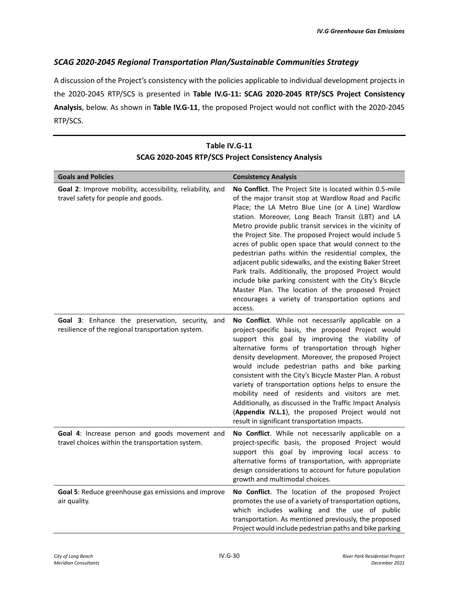#### *SCAG 2020-2045 Regional Transportation Plan/Sustainable Communities Strategy*

A discussion of the Project's consistency with the policies applicable to individual development projects in the 2020-2045 RTP/SCS is presented in **Table IV.G-11: SCAG 2020-2045 RTP/SCS Project Consistency Analysis**, below. As shown in **Table IV.G-11**, the proposed Project would not conflict with the 2020-2045 RTP/SCS.

| <b>Goals and Policies</b>                                                                            | <b>Consistency Analysis</b>                                                                                                                                                                                                                                                                                                                                                                                                                                                                                                                                                                                                                                                                                                                                              |
|------------------------------------------------------------------------------------------------------|--------------------------------------------------------------------------------------------------------------------------------------------------------------------------------------------------------------------------------------------------------------------------------------------------------------------------------------------------------------------------------------------------------------------------------------------------------------------------------------------------------------------------------------------------------------------------------------------------------------------------------------------------------------------------------------------------------------------------------------------------------------------------|
| Goal 2: Improve mobility, accessibility, reliability, and<br>travel safety for people and goods.     | No Conflict. The Project Site is located within 0.5-mile<br>of the major transit stop at Wardlow Road and Pacific<br>Place; the LA Metro Blue Line (or A Line) Wardlow<br>station. Moreover, Long Beach Transit (LBT) and LA<br>Metro provide public transit services in the vicinity of<br>the Project Site. The proposed Project would include 5<br>acres of public open space that would connect to the<br>pedestrian paths within the residential complex, the<br>adjacent public sidewalks, and the existing Baker Street<br>Park trails. Additionally, the proposed Project would<br>include bike parking consistent with the City's Bicycle<br>Master Plan. The location of the proposed Project<br>encourages a variety of transportation options and<br>access. |
| Goal 3: Enhance the preservation, security, and<br>resilience of the regional transportation system. | No Conflict. While not necessarily applicable on a<br>project-specific basis, the proposed Project would<br>support this goal by improving the viability of<br>alternative forms of transportation through higher<br>density development. Moreover, the proposed Project<br>would include pedestrian paths and bike parking<br>consistent with the City's Bicycle Master Plan. A robust<br>variety of transportation options helps to ensure the<br>mobility need of residents and visitors are met.<br>Additionally, as discussed in the Traffic Impact Analysis<br>(Appendix IV.L.1), the proposed Project would not<br>result in significant transportation impacts.                                                                                                  |
| Goal 4: Increase person and goods movement and<br>travel choices within the transportation system.   | No Conflict. While not necessarily applicable on a<br>project-specific basis, the proposed Project would<br>support this goal by improving local access to<br>alternative forms of transportation, with appropriate<br>design considerations to account for future population<br>growth and multimodal choices.                                                                                                                                                                                                                                                                                                                                                                                                                                                          |
| Goal 5: Reduce greenhouse gas emissions and improve<br>air quality.                                  | No Conflict. The location of the proposed Project<br>promotes the use of a variety of transportation options,<br>which includes walking and the use of public<br>transportation. As mentioned previously, the proposed<br>Project would include pedestrian paths and bike parking                                                                                                                                                                                                                                                                                                                                                                                                                                                                                        |

## **Table IV.G-11 SCAG 2020-2045 RTP/SCS Project Consistency Analysis**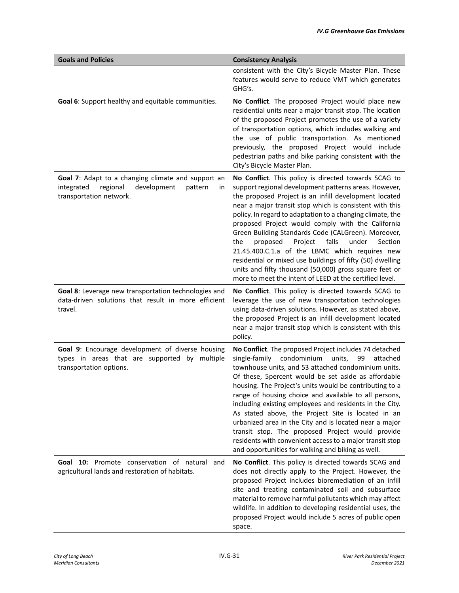| <b>Goals and Policies</b>                                                                                                               | <b>Consistency Analysis</b>                                                                                                                                                                                                                                                                                                                                                                                                                                                                                                                                                                                                                                                                                |
|-----------------------------------------------------------------------------------------------------------------------------------------|------------------------------------------------------------------------------------------------------------------------------------------------------------------------------------------------------------------------------------------------------------------------------------------------------------------------------------------------------------------------------------------------------------------------------------------------------------------------------------------------------------------------------------------------------------------------------------------------------------------------------------------------------------------------------------------------------------|
|                                                                                                                                         | consistent with the City's Bicycle Master Plan. These<br>features would serve to reduce VMT which generates<br>GHG's.                                                                                                                                                                                                                                                                                                                                                                                                                                                                                                                                                                                      |
| Goal 6: Support healthy and equitable communities.                                                                                      | No Conflict. The proposed Project would place new<br>residential units near a major transit stop. The location<br>of the proposed Project promotes the use of a variety<br>of transportation options, which includes walking and<br>the use of public transportation. As mentioned<br>previously, the proposed Project would include<br>pedestrian paths and bike parking consistent with the<br>City's Bicycle Master Plan.                                                                                                                                                                                                                                                                               |
| Goal 7: Adapt to a changing climate and support an<br>integrated<br>regional<br>development<br>pattern<br>in<br>transportation network. | No Conflict. This policy is directed towards SCAG to<br>support regional development patterns areas. However,<br>the proposed Project is an infill development located<br>near a major transit stop which is consistent with this<br>policy. In regard to adaptation to a changing climate, the<br>proposed Project would comply with the California<br>Green Building Standards Code (CALGreen). Moreover,<br>falls<br>the<br>proposed<br>Project<br>under<br>Section<br>21.45.400.C.1.a of the LBMC which requires new<br>residential or mixed use buildings of fifty (50) dwelling<br>units and fifty thousand (50,000) gross square feet or<br>more to meet the intent of LEED at the certified level. |
| Goal 8: Leverage new transportation technologies and<br>data-driven solutions that result in more efficient<br>travel.                  | No Conflict. This policy is directed towards SCAG to<br>leverage the use of new transportation technologies<br>using data-driven solutions. However, as stated above,<br>the proposed Project is an infill development located<br>near a major transit stop which is consistent with this<br>policy.                                                                                                                                                                                                                                                                                                                                                                                                       |
| Goal 9: Encourage development of diverse housing<br>types in areas that are supported by multiple<br>transportation options.            | No Conflict. The proposed Project includes 74 detached<br>condominium<br>single-family<br>units,<br>99<br>attached<br>townhouse units, and 53 attached condominium units.<br>Of these, 5percent would be set aside as affordable<br>housing. The Project's units would be contributing to a<br>range of housing choice and available to all persons,<br>including existing employees and residents in the City.<br>As stated above, the Project Site is located in an<br>urbanized area in the City and is located near a major<br>transit stop. The proposed Project would provide<br>residents with convenient access to a major transit stop<br>and opportunities for walking and biking as well.       |
| <b>Goal 10:</b> Promote conservation of natural<br>and<br>agricultural lands and restoration of habitats.                               | No Conflict. This policy is directed towards SCAG and<br>does not directly apply to the Project. However, the<br>proposed Project includes bioremediation of an infill<br>site and treating contaminated soil and subsurface<br>material to remove harmful pollutants which may affect<br>wildlife. In addition to developing residential uses, the<br>proposed Project would include 5 acres of public open<br>space.                                                                                                                                                                                                                                                                                     |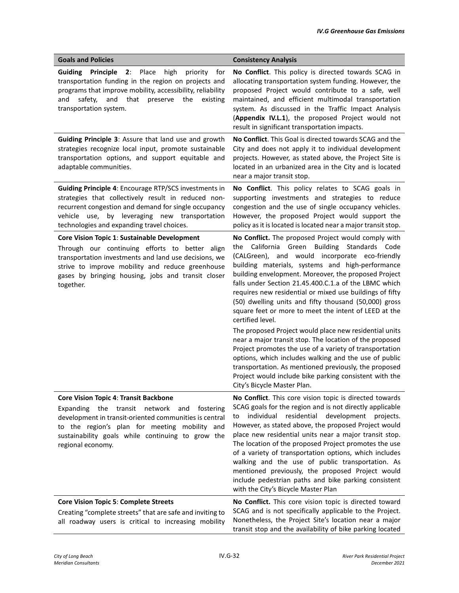| <b>Goals and Policies</b>                                                                                                                                                                                                                                                                 | <b>Consistency Analysis</b>                                                                                                                                                                                                                                                                                                                                                                                                                                                                                                                                                                                                                                                                                                                                                                                                                                                                                             |
|-------------------------------------------------------------------------------------------------------------------------------------------------------------------------------------------------------------------------------------------------------------------------------------------|-------------------------------------------------------------------------------------------------------------------------------------------------------------------------------------------------------------------------------------------------------------------------------------------------------------------------------------------------------------------------------------------------------------------------------------------------------------------------------------------------------------------------------------------------------------------------------------------------------------------------------------------------------------------------------------------------------------------------------------------------------------------------------------------------------------------------------------------------------------------------------------------------------------------------|
| <b>Guiding</b><br>Principle<br>Place<br>2:<br>high<br>priority<br>for<br>transportation funding in the region on projects and<br>programs that improve mobility, accessibility, reliability<br>safety,<br>and<br>that<br>the<br>and<br>preserve<br>existing<br>transportation system.     | No Conflict. This policy is directed towards SCAG in<br>allocating transportation system funding. However, the<br>proposed Project would contribute to a safe, well<br>maintained, and efficient multimodal transportation<br>system. As discussed in the Traffic Impact Analysis<br>(Appendix IV.L.1), the proposed Project would not<br>result in significant transportation impacts.                                                                                                                                                                                                                                                                                                                                                                                                                                                                                                                                 |
| Guiding Principle 3: Assure that land use and growth<br>strategies recognize local input, promote sustainable<br>transportation options, and support equitable and<br>adaptable communities.                                                                                              | No Conflict. This Goal is directed towards SCAG and the<br>City and does not apply it to individual development<br>projects. However, as stated above, the Project Site is<br>located in an urbanized area in the City and is located<br>near a major transit stop.                                                                                                                                                                                                                                                                                                                                                                                                                                                                                                                                                                                                                                                     |
| <b>Guiding Principle 4: Encourage RTP/SCS investments in</b><br>strategies that collectively result in reduced non-<br>recurrent congestion and demand for single occupancy<br>by leveraging new transportation<br>vehicle use,<br>technologies and expanding travel choices.             | No Conflict. This policy relates to SCAG goals in<br>supporting investments and strategies to reduce<br>congestion and the use of single occupancy vehicles.<br>However, the proposed Project would support the<br>policy as it is located is located near a major transit stop.                                                                                                                                                                                                                                                                                                                                                                                                                                                                                                                                                                                                                                        |
| Core Vision Topic 1: Sustainable Development<br>Through our continuing efforts to better align<br>transportation investments and land use decisions, we<br>strive to improve mobility and reduce greenhouse<br>gases by bringing housing, jobs and transit closer<br>together.            | No Conflict. The proposed Project would comply with<br>the California Green Building Standards Code<br>(CALGreen), and would incorporate eco-friendly<br>building materials, systems and high-performance<br>building envelopment. Moreover, the proposed Project<br>falls under Section 21.45.400.C.1.a of the LBMC which<br>requires new residential or mixed use buildings of fifty<br>(50) dwelling units and fifty thousand (50,000) gross<br>square feet or more to meet the intent of LEED at the<br>certified level.<br>The proposed Project would place new residential units<br>near a major transit stop. The location of the proposed<br>Project promotes the use of a variety of transportation<br>options, which includes walking and the use of public<br>transportation. As mentioned previously, the proposed<br>Project would include bike parking consistent with the<br>City's Bicycle Master Plan. |
| <b>Core Vision Topic 4: Transit Backbone</b><br>Expanding the transit<br>network<br>and<br>fostering<br>development in transit-oriented communities is central<br>to the region's plan for meeting mobility and<br>sustainability goals while continuing to grow the<br>regional economy. | No Conflict. This core vision topic is directed towards<br>SCAG goals for the region and is not directly applicable<br>individual residential<br>development projects.<br>to<br>However, as stated above, the proposed Project would<br>place new residential units near a major transit stop.<br>The location of the proposed Project promotes the use<br>of a variety of transportation options, which includes<br>walking and the use of public transportation. As<br>mentioned previously, the proposed Project would<br>include pedestrian paths and bike parking consistent<br>with the City's Bicycle Master Plan                                                                                                                                                                                                                                                                                                |
| <b>Core Vision Topic 5: Complete Streets</b><br>Creating "complete streets" that are safe and inviting to<br>all roadway users is critical to increasing mobility                                                                                                                         | No Conflict. This core vision topic is directed toward<br>SCAG and is not specifically applicable to the Project.<br>Nonetheless, the Project Site's location near a major<br>transit stop and the availability of bike parking located                                                                                                                                                                                                                                                                                                                                                                                                                                                                                                                                                                                                                                                                                 |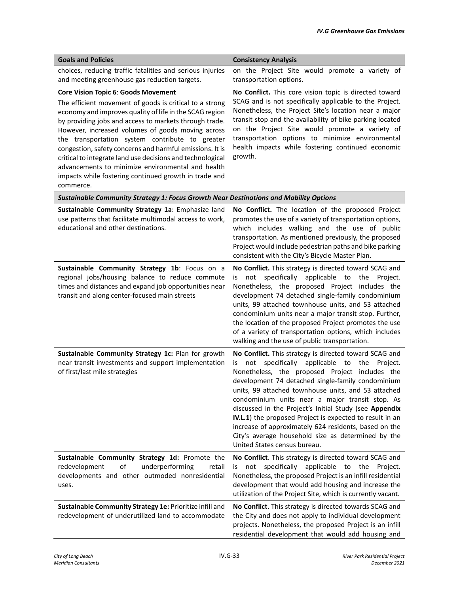| <b>Goals and Policies</b>                                                                                                                                                                                                                                                                                                                                                                                                                                                                                                                                                        | <b>Consistency Analysis</b>                                                                                                                                                                                                                                                                                                                                                                                                                                                                                                                                                                       |
|----------------------------------------------------------------------------------------------------------------------------------------------------------------------------------------------------------------------------------------------------------------------------------------------------------------------------------------------------------------------------------------------------------------------------------------------------------------------------------------------------------------------------------------------------------------------------------|---------------------------------------------------------------------------------------------------------------------------------------------------------------------------------------------------------------------------------------------------------------------------------------------------------------------------------------------------------------------------------------------------------------------------------------------------------------------------------------------------------------------------------------------------------------------------------------------------|
| choices, reducing traffic fatalities and serious injuries<br>and meeting greenhouse gas reduction targets.                                                                                                                                                                                                                                                                                                                                                                                                                                                                       | on the Project Site would promote a variety of<br>transportation options.                                                                                                                                                                                                                                                                                                                                                                                                                                                                                                                         |
| Core Vision Topic 6: Goods Movement<br>The efficient movement of goods is critical to a strong<br>economy and improves quality of life in the SCAG region<br>by providing jobs and access to markets through trade.<br>However, increased volumes of goods moving across<br>the transportation system contribute to greater<br>congestion, safety concerns and harmful emissions. It is<br>critical to integrate land use decisions and technological<br>advancements to minimize environmental and health<br>impacts while fostering continued growth in trade and<br>commerce. | No Conflict. This core vision topic is directed toward<br>SCAG and is not specifically applicable to the Project.<br>Nonetheless, the Project Site's location near a major<br>transit stop and the availability of bike parking located<br>on the Project Site would promote a variety of<br>transportation options to minimize environmental<br>health impacts while fostering continued economic<br>growth.                                                                                                                                                                                     |
| Sustainable Community Strategy 1: Focus Growth Near Destinations and Mobility Options                                                                                                                                                                                                                                                                                                                                                                                                                                                                                            |                                                                                                                                                                                                                                                                                                                                                                                                                                                                                                                                                                                                   |
| Sustainable Community Strategy 1a: Emphasize land<br>use patterns that facilitate multimodal access to work,<br>educational and other destinations.                                                                                                                                                                                                                                                                                                                                                                                                                              | No Conflict. The location of the proposed Project<br>promotes the use of a variety of transportation options,<br>which includes walking and the use of public<br>transportation. As mentioned previously, the proposed<br>Project would include pedestrian paths and bike parking<br>consistent with the City's Bicycle Master Plan.                                                                                                                                                                                                                                                              |
| Sustainable Community Strategy 1b: Focus on a<br>regional jobs/housing balance to reduce commute<br>times and distances and expand job opportunities near<br>transit and along center-focused main streets                                                                                                                                                                                                                                                                                                                                                                       | No Conflict. This strategy is directed toward SCAG and<br>specifically applicable to the<br>not<br>is<br>Project.<br>Nonetheless, the proposed Project includes the<br>development 74 detached single-family condominium<br>units, 99 attached townhouse units, and 53 attached<br>condominium units near a major transit stop. Further,<br>the location of the proposed Project promotes the use<br>of a variety of transportation options, which includes<br>walking and the use of public transportation.                                                                                      |
| Sustainable Community Strategy 1c: Plan for growth<br>near transit investments and support implementation<br>of first/last mile strategies                                                                                                                                                                                                                                                                                                                                                                                                                                       | No Conflict. This strategy is directed toward SCAG and<br>not specifically applicable to the Project.<br>is<br>Nonetheless, the proposed Project includes the<br>development 74 detached single-family condominium<br>units, 99 attached townhouse units, and 53 attached<br>condominium units near a major transit stop. As<br>discussed in the Project's Initial Study (see Appendix<br>IV.L.1) the proposed Project is expected to result in an<br>increase of approximately 624 residents, based on the<br>City's average household size as determined by the<br>United States census bureau. |
| Sustainable Community Strategy 1d: Promote the<br>redevelopment<br>of<br>underperforming<br>retail<br>developments and other outmoded nonresidential<br>uses.                                                                                                                                                                                                                                                                                                                                                                                                                    | No Conflict. This strategy is directed toward SCAG and<br>not specifically applicable to the<br>Project.<br>is<br>Nonetheless, the proposed Project is an infill residential<br>development that would add housing and increase the<br>utilization of the Project Site, which is currently vacant.                                                                                                                                                                                                                                                                                                |
| Sustainable Community Strategy 1e: Prioritize infill and<br>redevelopment of underutilized land to accommodate                                                                                                                                                                                                                                                                                                                                                                                                                                                                   | No Conflict. This strategy is directed towards SCAG and<br>the City and does not apply to individual development<br>projects. Nonetheless, the proposed Project is an infill<br>residential development that would add housing and                                                                                                                                                                                                                                                                                                                                                                |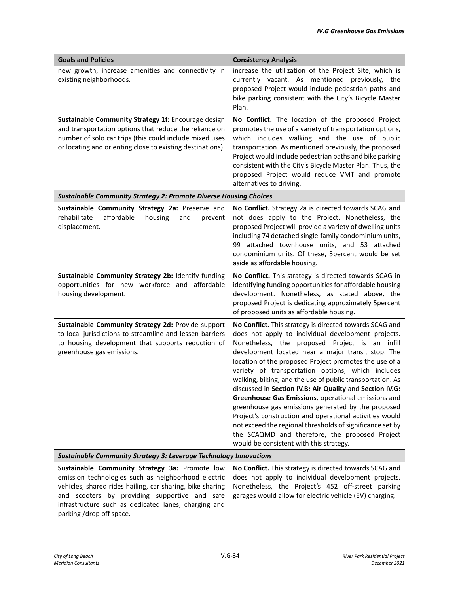| <b>Goals and Policies</b>                                                                                                                                                                                                              | <b>Consistency Analysis</b>                                                                                                                                                                                                                                                                                                                                                                                                                                                                                                                                                                                                                                                                                                                                                                     |
|----------------------------------------------------------------------------------------------------------------------------------------------------------------------------------------------------------------------------------------|-------------------------------------------------------------------------------------------------------------------------------------------------------------------------------------------------------------------------------------------------------------------------------------------------------------------------------------------------------------------------------------------------------------------------------------------------------------------------------------------------------------------------------------------------------------------------------------------------------------------------------------------------------------------------------------------------------------------------------------------------------------------------------------------------|
| new growth, increase amenities and connectivity in<br>existing neighborhoods.                                                                                                                                                          | increase the utilization of the Project Site, which is<br>currently vacant. As mentioned previously, the<br>proposed Project would include pedestrian paths and<br>bike parking consistent with the City's Bicycle Master<br>Plan.                                                                                                                                                                                                                                                                                                                                                                                                                                                                                                                                                              |
| Sustainable Community Strategy 1f: Encourage design<br>and transportation options that reduce the reliance on<br>number of solo car trips (this could include mixed uses<br>or locating and orienting close to existing destinations). | No Conflict. The location of the proposed Project<br>promotes the use of a variety of transportation options,<br>which includes walking and the use of public<br>transportation. As mentioned previously, the proposed<br>Project would include pedestrian paths and bike parking<br>consistent with the City's Bicycle Master Plan. Thus, the<br>proposed Project would reduce VMT and promote<br>alternatives to driving.                                                                                                                                                                                                                                                                                                                                                                     |
| <b>Sustainable Community Strategy 2: Promote Diverse Housing Choices</b>                                                                                                                                                               |                                                                                                                                                                                                                                                                                                                                                                                                                                                                                                                                                                                                                                                                                                                                                                                                 |
| Sustainable Community Strategy 2a: Preserve and<br>rehabilitate<br>affordable<br>housing<br>and<br>prevent<br>displacement.                                                                                                            | No Conflict. Strategy 2a is directed towards SCAG and<br>not does apply to the Project. Nonetheless, the<br>proposed Project will provide a variety of dwelling units<br>including 74 detached single-family condominium units,<br>99 attached townhouse units, and 53 attached<br>condominium units. Of these, 5percent would be set<br>aside as affordable housing.                                                                                                                                                                                                                                                                                                                                                                                                                           |
| Sustainable Community Strategy 2b: Identify funding<br>opportunities for new workforce and affordable<br>housing development.                                                                                                          | No Conflict. This strategy is directed towards SCAG in<br>identifying funding opportunities for affordable housing<br>development. Nonetheless, as stated above, the<br>proposed Project is dedicating approximately 5percent<br>of proposed units as affordable housing.                                                                                                                                                                                                                                                                                                                                                                                                                                                                                                                       |
| Sustainable Community Strategy 2d: Provide support<br>to local jurisdictions to streamline and lessen barriers<br>to housing development that supports reduction of<br>greenhouse gas emissions.                                       | No Conflict. This strategy is directed towards SCAG and<br>does not apply to individual development projects.<br>Nonetheless, the proposed Project is an infill<br>development located near a major transit stop. The<br>location of the proposed Project promotes the use of a<br>variety of transportation options, which includes<br>walking, biking, and the use of public transportation. As<br>discussed in Section IV.B: Air Quality and Section IV.G:<br>Greenhouse Gas Emissions, operational emissions and<br>greenhouse gas emissions generated by the proposed<br>Project's construction and operational activities would<br>not exceed the regional thresholds of significance set by<br>the SCAQMD and therefore, the proposed Project<br>would be consistent with this strategy. |

*Sustainable Community Strategy 3: Leverage Technology Innovations* 

**Sustainable Community Strategy 3a:** Promote low emission technologies such as neighborhood electric vehicles, shared rides hailing, car sharing, bike sharing and scooters by providing supportive and safe infrastructure such as dedicated lanes, charging and parking /drop off space.

**No Conflict.** This strategy is directed towards SCAG and does not apply to individual development projects. Nonetheless, the Project's 452 off-street parking garages would allow for electric vehicle (EV) charging.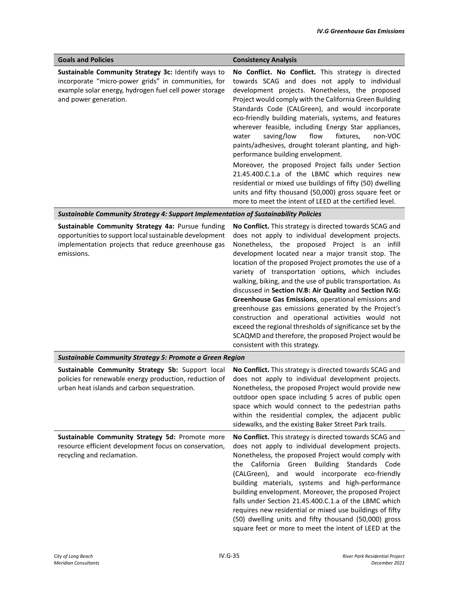| <b>Goals and Policies</b>                                                                                                                                                                     | <b>Consistency Analysis</b>                                                                                                                                                                                                                                                                                                                                                                                                                                                                                                                                                                                                                                                                                                                                                                                                              |
|-----------------------------------------------------------------------------------------------------------------------------------------------------------------------------------------------|------------------------------------------------------------------------------------------------------------------------------------------------------------------------------------------------------------------------------------------------------------------------------------------------------------------------------------------------------------------------------------------------------------------------------------------------------------------------------------------------------------------------------------------------------------------------------------------------------------------------------------------------------------------------------------------------------------------------------------------------------------------------------------------------------------------------------------------|
| Sustainable Community Strategy 3c: Identify ways to<br>incorporate "micro-power grids" in communities, for<br>example solar energy, hydrogen fuel cell power storage<br>and power generation. | No Conflict. No Conflict. This strategy is directed<br>towards SCAG and does not apply to individual<br>development projects. Nonetheless, the proposed<br>Project would comply with the California Green Building<br>Standards Code (CALGreen), and would incorporate<br>eco-friendly building materials, systems, and features<br>wherever feasible, including Energy Star appliances,<br>saving/low<br>flow<br>water<br>fixtures,<br>non-VOC<br>paints/adhesives, drought tolerant planting, and high-<br>performance building envelopment.<br>Moreover, the proposed Project falls under Section<br>21.45.400.C.1.a of the LBMC which requires new<br>residential or mixed use buildings of fifty (50) dwelling<br>units and fifty thousand (50,000) gross square feet or<br>more to meet the intent of LEED at the certified level. |
| Sustainable Community Strategy 4: Support Implementation of Sustainability Policies                                                                                                           |                                                                                                                                                                                                                                                                                                                                                                                                                                                                                                                                                                                                                                                                                                                                                                                                                                          |
| Sustainable Community Strategy 4a: Pursue funding<br>opportunities to support local sustainable development<br>implementation projects that reduce greenhouse gas<br>emissions.               | No Conflict. This strategy is directed towards SCAG and<br>does not apply to individual development projects.<br>Nonetheless, the proposed Project is an infill<br>development located near a major transit stop. The<br>location of the proposed Project promotes the use of a<br>variety of transportation options, which includes<br>walking, biking, and the use of public transportation. As<br>discussed in Section IV.B: Air Quality and Section IV.G:<br>Greenhouse Gas Emissions, operational emissions and<br>greenhouse gas emissions generated by the Project's<br>construction and operational activities would not<br>exceed the regional thresholds of significance set by the<br>SCAQMD and therefore, the proposed Project would be<br>consistent with this strategy.                                                   |
| <b>Sustainable Community Strategy 5: Promote a Green Region</b>                                                                                                                               |                                                                                                                                                                                                                                                                                                                                                                                                                                                                                                                                                                                                                                                                                                                                                                                                                                          |
| Sustainable Community Strategy 5b: Support local<br>policies for renewable energy production, reduction of<br>urban heat islands and carbon sequestration.                                    | No Conflict. This strategy is directed towards SCAG and<br>does not apply to individual development projects.<br>Nonetheless, the proposed Project would provide new<br>outdoor open space including 5 acres of public open<br>space which would connect to the pedestrian paths<br>within the residential complex, the adjacent public<br>sidewalks, and the existing Baker Street Park trails.                                                                                                                                                                                                                                                                                                                                                                                                                                         |
| Sustainable Community Strategy 5d: Promote more<br>resource efficient development focus on conservation,<br>recycling and reclamation.                                                        | No Conflict. This strategy is directed towards SCAG and<br>does not apply to individual development projects.<br>Nonetheless, the proposed Project would comply with<br>the California Green Building Standards Code<br>(CALGreen), and would incorporate eco-friendly<br>building materials, systems and high-performance<br>building envelopment. Moreover, the proposed Project<br>falls under Section 21.45.400.C.1.a of the LBMC which<br>requires new residential or mixed use buildings of fifty<br>(50) dwelling units and fifty thousand (50,000) gross<br>square feet or more to meet the intent of LEED at the                                                                                                                                                                                                                |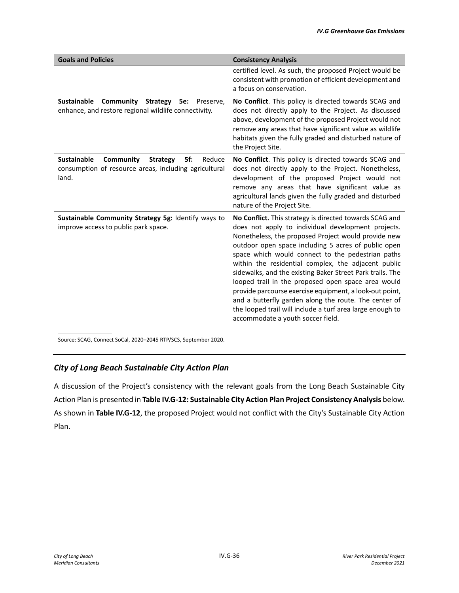| <b>Goals and Policies</b>                                                                                                             | <b>Consistency Analysis</b>                                                                                                                                                                                                                                                                                                                                                                                                                                                                                                                                                                                                                                                      |
|---------------------------------------------------------------------------------------------------------------------------------------|----------------------------------------------------------------------------------------------------------------------------------------------------------------------------------------------------------------------------------------------------------------------------------------------------------------------------------------------------------------------------------------------------------------------------------------------------------------------------------------------------------------------------------------------------------------------------------------------------------------------------------------------------------------------------------|
|                                                                                                                                       | certified level. As such, the proposed Project would be<br>consistent with promotion of efficient development and<br>a focus on conservation.                                                                                                                                                                                                                                                                                                                                                                                                                                                                                                                                    |
| Sustainable<br>Community<br>Strategy<br><b>5e:</b><br>Preserve,<br>enhance, and restore regional wildlife connectivity.               | No Conflict. This policy is directed towards SCAG and<br>does not directly apply to the Project. As discussed<br>above, development of the proposed Project would not<br>remove any areas that have significant value as wildlife<br>habitats given the fully graded and disturbed nature of<br>the Project Site.                                                                                                                                                                                                                                                                                                                                                                |
| <b>Sustainable</b><br>Community<br>5f:<br><b>Strategy</b><br>Reduce<br>consumption of resource areas, including agricultural<br>land. | No Conflict. This policy is directed towards SCAG and<br>does not directly apply to the Project. Nonetheless,<br>development of the proposed Project would not<br>remove any areas that have significant value as<br>agricultural lands given the fully graded and disturbed<br>nature of the Project Site.                                                                                                                                                                                                                                                                                                                                                                      |
| Sustainable Community Strategy 5g: Identify ways to<br>improve access to public park space.                                           | No Conflict. This strategy is directed towards SCAG and<br>does not apply to individual development projects.<br>Nonetheless, the proposed Project would provide new<br>outdoor open space including 5 acres of public open<br>space which would connect to the pedestrian paths<br>within the residential complex, the adjacent public<br>sidewalks, and the existing Baker Street Park trails. The<br>looped trail in the proposed open space area would<br>provide parcourse exercise equipment, a look-out point,<br>and a butterfly garden along the route. The center of<br>the looped trail will include a turf area large enough to<br>accommodate a youth soccer field. |

Source: SCAG, Connect SoCal, 2020–2045 RTP/SCS, September 2020.

## *City of Long Beach Sustainable City Action Plan*

A discussion of the Project's consistency with the relevant goals from the Long Beach Sustainable City Action Plan is presented in **Table IV.G-12: Sustainable City Action Plan Project Consistency Analysis** below. As shown in **Table IV.G-12**, the proposed Project would not conflict with the City's Sustainable City Action Plan.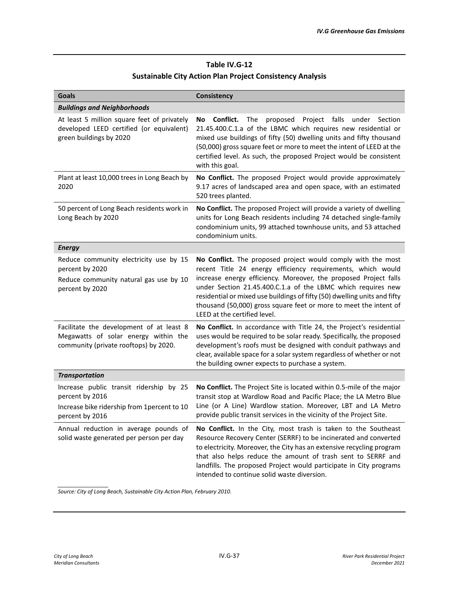#### **Table IV.G-12 Sustainable City Action Plan Project Consistency Analysis**

| Goals                                                                                                                         | Consistency                                                                                                                                                                                                                                                                                                                                                                                                                                       |
|-------------------------------------------------------------------------------------------------------------------------------|---------------------------------------------------------------------------------------------------------------------------------------------------------------------------------------------------------------------------------------------------------------------------------------------------------------------------------------------------------------------------------------------------------------------------------------------------|
| <b>Buildings and Neighborhoods</b>                                                                                            |                                                                                                                                                                                                                                                                                                                                                                                                                                                   |
| At least 5 million square feet of privately<br>developed LEED certified (or equivalent)<br>green buildings by 2020            | Conflict.<br>Project falls<br>The proposed<br>under<br>Section<br>No<br>21.45.400.C.1.a of the LBMC which requires new residential or<br>mixed use buildings of fifty (50) dwelling units and fifty thousand<br>(50,000) gross square feet or more to meet the intent of LEED at the<br>certified level. As such, the proposed Project would be consistent<br>with this goal.                                                                     |
| Plant at least 10,000 trees in Long Beach by<br>2020                                                                          | No Conflict. The proposed Project would provide approximately<br>9.17 acres of landscaped area and open space, with an estimated<br>520 trees planted.                                                                                                                                                                                                                                                                                            |
| 50 percent of Long Beach residents work in<br>Long Beach by 2020                                                              | No Conflict. The proposed Project will provide a variety of dwelling<br>units for Long Beach residents including 74 detached single-family<br>condominium units, 99 attached townhouse units, and 53 attached<br>condominium units.                                                                                                                                                                                                               |
| <b>Energy</b>                                                                                                                 |                                                                                                                                                                                                                                                                                                                                                                                                                                                   |
| Reduce community electricity use by 15<br>percent by 2020<br>Reduce community natural gas use by 10<br>percent by 2020        | No Conflict. The proposed project would comply with the most<br>recent Title 24 energy efficiency requirements, which would<br>increase energy efficiency. Moreover, the proposed Project falls<br>under Section 21.45.400.C.1.a of the LBMC which requires new<br>residential or mixed use buildings of fifty (50) dwelling units and fifty<br>thousand (50,000) gross square feet or more to meet the intent of<br>LEED at the certified level. |
| Facilitate the development of at least 8<br>Megawatts of solar energy within the<br>community (private rooftops) by 2020.     | No Conflict. In accordance with Title 24, the Project's residential<br>uses would be required to be solar ready. Specifically, the proposed<br>development's roofs must be designed with conduit pathways and<br>clear, available space for a solar system regardless of whether or not<br>the building owner expects to purchase a system.                                                                                                       |
| <b>Transportation</b>                                                                                                         |                                                                                                                                                                                                                                                                                                                                                                                                                                                   |
| Increase public transit ridership by 25<br>percent by 2016<br>Increase bike ridership from 1 percent to 10<br>percent by 2016 | <b>No Conflict.</b> The Project Site is located within 0.5-mile of the major<br>transit stop at Wardlow Road and Pacific Place; the LA Metro Blue<br>Line (or A Line) Wardlow station. Moreover, LBT and LA Metro<br>provide public transit services in the vicinity of the Project Site.                                                                                                                                                         |
| Annual reduction in average pounds of<br>solid waste generated per person per day                                             | No Conflict. In the City, most trash is taken to the Southeast<br>Resource Recovery Center (SERRF) to be incinerated and converted<br>to electricity. Moreover, the City has an extensive recycling program<br>that also helps reduce the amount of trash sent to SERRF and<br>landfills. The proposed Project would participate in City programs<br>intended to continue solid waste diversion.                                                  |

*Source: City of Long Beach, Sustainable City Action Plan, February 2010.*

*\_\_\_\_\_\_\_\_\_\_\_\_\_\_\_\_\_*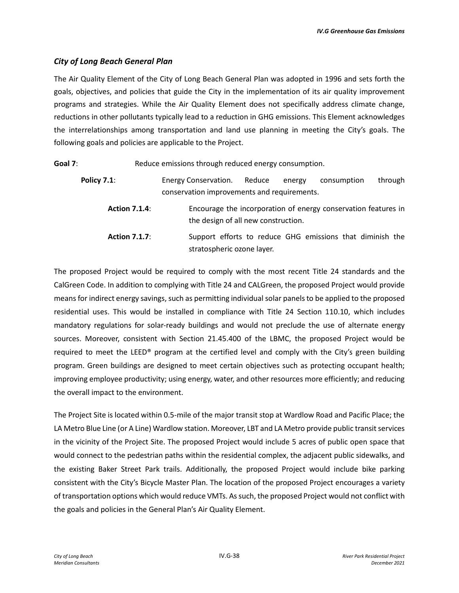#### *City of Long Beach General Plan*

The Air Quality Element of the City of Long Beach General Plan was adopted in 1996 and sets forth the goals, objectives, and policies that guide the City in the implementation of its air quality improvement programs and strategies. While the Air Quality Element does not specifically address climate change, reductions in other pollutants typically lead to a reduction in GHG emissions. This Element acknowledges the interrelationships among transportation and land use planning in meeting the City's goals. The following goals and policies are applicable to the Project.

**Goal 7:** Reduce emissions through reduced energy consumption. **Policy 7.1:** Energy Conservation. Reduce energy consumption through conservation improvements and requirements. **Action 7.1.4**: Encourage the incorporation of energy conservation features in the design of all new construction. **Action 7.1.7**: Support efforts to reduce GHG emissions that diminish the stratospheric ozone layer.

The proposed Project would be required to comply with the most recent Title 24 standards and the CalGreen Code. In addition to complying with Title 24 and CALGreen, the proposed Project would provide means for indirect energy savings, such as permitting individual solar panels to be applied to the proposed residential uses. This would be installed in compliance with Title 24 Section 110.10, which includes mandatory regulations for solar-ready buildings and would not preclude the use of alternate energy sources. Moreover, consistent with Section 21.45.400 of the LBMC, the proposed Project would be required to meet the LEED® program at the certified level and comply with the City's green building program. Green buildings are designed to meet certain objectives such as protecting occupant health; improving employee productivity; using energy, water, and other resources more efficiently; and reducing the overall impact to the environment.

The Project Site is located within 0.5-mile of the major transit stop at Wardlow Road and Pacific Place; the LA Metro Blue Line (or A Line) Wardlow station. Moreover, LBT and LA Metro provide public transit services in the vicinity of the Project Site. The proposed Project would include 5 acres of public open space that would connect to the pedestrian paths within the residential complex, the adjacent public sidewalks, and the existing Baker Street Park trails. Additionally, the proposed Project would include bike parking consistent with the City's Bicycle Master Plan. The location of the proposed Project encourages a variety of transportation options which would reduce VMTs. As such, the proposed Project would not conflict with the goals and policies in the General Plan's Air Quality Element.